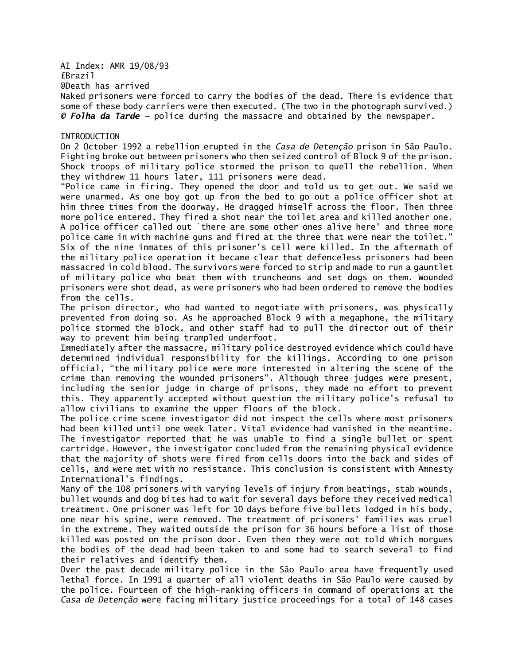AI Index: AMR 19/08/93 £Brazil

@Death has arrived

Naked prisoners were forced to carry the bodies of the dead. There is evidence that some of these body carriers were then executed. (The two in the photograph survived.) *© Folha da Tarde —* police during the massacre and obtained by the newspaper.

### **INTRODUCTION**

On 2 October 1992 a rebellion erupted in the *Casa de Detenção* prison in São Paulo. Fighting broke out between prisoners who then seized control of Block 9 of the prison. Shock troops of military police stormed the prison to quell the rebellion. When they withdrew 11 hours later, 111 prisoners were dead.

"Police came in firing. They opened the door and told us to get out. We said we were unarmed. As one boy got up from the bed to go out a police officer shot at him three times from the doorway. He dragged himself across the floor. Then three more police entered. They fired a shot near the toilet area and killed another one. A police officer called out `there are some other ones alive here' and three more police came in with machine guns and fired at the three that were near the toilet." Six of the nine inmates of this prisoner's cell were killed. In the aftermath of the military police operation it became clear that defenceless prisoners had been massacred in cold blood. The survivors were forced to strip and made to run a gauntlet of military police who beat them with truncheons and set dogs on them. Wounded prisoners were shot dead, as were prisoners who had been ordered to remove the bodies from the cells.

The prison director, who had wanted to negotiate with prisoners, was physically prevented from doing so. As he approached Block 9 with a megaphone, the military police stormed the block, and other staff had to pull the director out of their way to prevent him being trampled underfoot.

Immediately after the massacre, military police destroyed evidence which could have determined individual responsibility for the killings. According to one prison official, "the military police were more interested in altering the scene of the crime than removing the wounded prisoners". Although three judges were present, including the senior judge in charge of prisons, they made no effort to prevent this. They apparently accepted without question the military police's refusal to allow civilians to examine the upper floors of the block.

The police crime scene investigator did not inspect the cells where most prisoners had been killed until one week later. Vital evidence had vanished in the meantime. The investigator reported that he was unable to find a single bullet or spent cartridge. However, the investigator concluded from the remaining physical evidence that the majority of shots were fired from cells doors into the back and sides of cells, and were met with no resistance. This conclusion is consistent with Amnesty International's findings.

Many of the 108 prisoners with varying levels of injury from beatings, stab wounds, bullet wounds and dog bites had to wait for several days before they received medical treatment. One prisoner was left for 10 days before five bullets lodged in his body, one near his spine, were removed. The treatment of prisoners' families was cruel in the extreme. They waited outside the prison for 36 hours before a list of those killed was posted on the prison door. Even then they were not told which morgues the bodies of the dead had been taken to and some had to search several to find their relatives and identify them.

Over the past decade military police in the São Paulo area have frequently used lethal force. In 1991 a quarter of all violent deaths in São Paulo were caused by the police. Fourteen of the high-ranking officers in command of operations at the *Casa de Detenção* were facing military justice proceedings for a total of 148 cases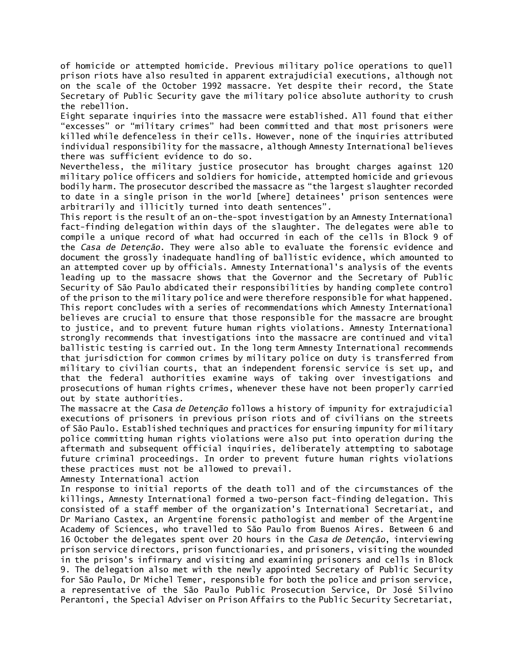of homicide or attempted homicide. Previous military police operations to quell prison riots have also resulted in apparent extrajudicial executions, although not on the scale of the October 1992 massacre. Yet despite their record, the State Secretary of Public Security gave the military police absolute authority to crush the rebellion.

Eight separate inquiries into the massacre were established. All found that either "excesses" or "military crimes" had been committed and that most prisoners were killed while defenceless in their cells. However, none of the inquiries attributed individual responsibility for the massacre, although Amnesty International believes there was sufficient evidence to do so.

Nevertheless, the military justice prosecutor has brought charges against 120 military police officers and soldiers for homicide, attempted homicide and grievous bodily harm. The prosecutor described the massacre as "the largest slaughter recorded to date in a single prison in the world [where] detainees' prison sentences were arbitrarily and illicitly turned into death sentences"*.*

This report is the result of an on-the-spot investigation by an Amnesty International fact-finding delegation within days of the slaughter. The delegates were able to compile a unique record of what had occurred in each of the cells in Block 9 of the *Casa de Detenção*. They were also able to evaluate the forensic evidence and document the grossly inadequate handling of ballistic evidence, which amounted to an attempted cover up by officials. Amnesty International's analysis of the events leading up to the massacre shows that the Governor and the Secretary of Public Security of São Paulo abdicated their responsibilities by handing complete control of the prison to the military police and were therefore responsible for what happened. This report concludes with a series of recommendations which Amnesty International believes are crucial to ensure that those responsible for the massacre are brought to justice, and to prevent future human rights violations. Amnesty International strongly recommends that investigations into the massacre are continued and vital ballistic testing is carried out. In the long term Amnesty International recommends that jurisdiction for common crimes by military police on duty is transferred from military to civilian courts, that an independent forensic service is set up, and that the federal authorities examine ways of taking over investigations and prosecutions of human rights crimes, whenever these have not been properly carried out by state authorities.

The massacre at the *Casa de Detenção* follows a history of impunity for extrajudicial executions of prisoners in previous prison riots and of civilians on the streets of São Paulo. Established techniques and practices for ensuring impunity for military police committing human rights violations were also put into operation during the aftermath and subsequent official inquiries, deliberately attempting to sabotage future criminal proceedings. In order to prevent future human rights violations these practices must not be allowed to prevail.

Amnesty International action

In response to initial reports of the death toll and of the circumstances of the killings, Amnesty International formed a two-person fact-finding delegation. This consisted of a staff member of the organization's International Secretariat, and Dr Mariano Castex, an Argentine forensic pathologist and member of the Argentine Academy of Sciences, who travelled to São Paulo from Buenos Aires. Between 6 and 16 October the delegates spent over 20 hours in the *Casa de Detenção*, interviewing prison service directors, prison functionaries, and prisoners, visiting the wounded in the prison's infirmary and visiting and examining prisoners and cells in Block 9. The delegation also met with the newly appointed Secretary of Public Security for São Paulo, Dr Michel Temer, responsible for both the police and prison service, a representative of the São Paulo Public Prosecution Service, Dr José Silvino Perantoni, the Special Adviser on Prison Affairs to the Public Security Secretariat,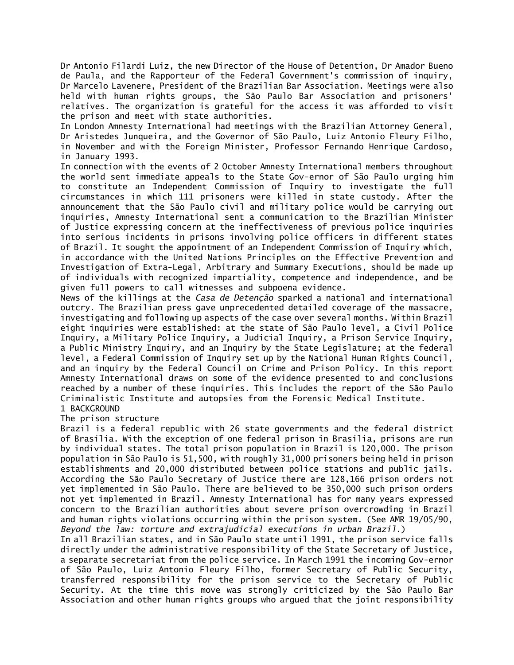Dr Antonio Filardi Luiz, the new Director of the House of Detention, Dr Amador Bueno de Paula, and the Rapporteur of the Federal Government's commission of inquiry, Dr Marcelo Lavenere, President of the Brazilian Bar Association. Meetings were also held with human rights groups, the São Paulo Bar Association and prisoners' relatives. The organization is grateful for the access it was afforded to visit the prison and meet with state authorities.

In London Amnesty International had meetings with the Brazilian Attorney General, Dr Aristedes Junqueira, and the Governor of São Paulo, Luiz Antonio Fleury Filho, in November and with the Foreign Minister, Professor Fernando Henrique Cardoso, in January 1993.

In connection with the events of 2 October Amnesty International members throughout the world sent immediate appeals to the State Gov-ernor of São Paulo urging him to constitute an Independent Commission of Inquiry to investigate the full circumstances in which 111 prisoners were killed in state custody. After the announcement that the São Paulo civil and military police would be carrying out inquiries, Amnesty International sent a communication to the Brazilian Minister of Justice expressing concern at the ineffectiveness of previous police inquiries into serious incidents in prisons involving police officers in different states of Brazil. It sought the appointment of an Independent Commission of Inquiry which, in accordance with the United Nations Principles on the Effective Prevention and Investigation of Extra-Legal, Arbitrary and Summary Executions, should be made up of individuals with recognized impartiality, competence and independence, and be given full powers to call witnesses and subpoena evidence.

News of the killings at the *Casa de Detenção* sparked a national and international outcry. The Brazilian press gave unprecedented detailed coverage of the massacre, investigating and following up aspects of the case over several months. Within Brazil eight inquiries were established: at the state of São Paulo level, a Civil Police Inquiry, a Military Police Inquiry, a Judicial Inquiry, a Prison Service Inquiry, a Public Ministry Inquiry, and an Inquiry by the State Legislature; at the federal level, a Federal Commission of Inquiry set up by the National Human Rights Council, and an inquiry by the Federal Council on Crime and Prison Policy. In this report Amnesty International draws on some of the evidence presented to and conclusions reached by a number of these inquiries. This includes the report of the São Paulo Criminalistic Institute and autopsies from the Forensic Medical Institute. 1 BACKGROUND

The prison structure

Brazil is a federal republic with 26 state governments and the federal district of Brasília. With the exception of one federal prison in Brasília, prisons are run by individual states. The total prison population in Brazil is 120,000. The prison population in São Paulo is 51,500, with roughly 31,000 prisoners being held in prison establishments and 20,000 distributed between police stations and public jails. According the São Paulo Secretary of Justice there are 128,166 prison orders not yet implemented in São Paulo. There are believed to be 350,000 such prison orders not yet implemented in Brazil. Amnesty International has for many years expressed concern to the Brazilian authorities about severe prison overcrowding in Brazil and human rights violations occurring within the prison system. (See AMR 19/05/90, *Beyond the law: torture and extrajudicial executions in urban Brazil.*)

In all Brazilian states, and in São Paulo state until 1991, the prison service falls directly under the administrative responsibility of the State Secretary of Justice, a separate secretariat from the police service. In March 1991 the incoming Gov-ernor of São Paulo, Luiz Antonio Fleury Filho, former Secretary of Public Security, transferred responsibility for the prison service to the Secretary of Public Security. At the time this move was strongly criticized by the São Paulo Bar Association and other human rights groups who argued that the joint responsibility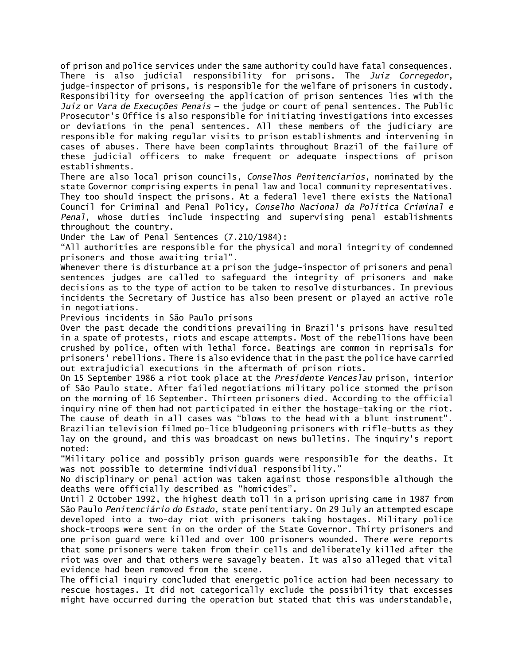of prison and police services under the same authority could have fatal consequences. There is also judicial responsibility for prisons. The *Juiz Corregedor*, judge-inspector of prisons, is responsible for the welfare of prisoners in custody. Responsibility for overseeing the application of prison sentences lies with the *Juiz* or *Vara de Execuções Penais* — the judge or court of penal sentences. The Public Prosecutor's Office is also responsible for initiating investigations into excesses or deviations in the penal sentences. All these members of the judiciary are responsible for making regular visits to prison establishments and intervening in cases of abuses. There have been complaints throughout Brazil of the failure of these judicial officers to make frequent or adequate inspections of prison establishments.

There are also local prison councils, *Conselhos Penitenciarios*, nominated by the state Governor comprising experts in penal law and local community representatives. They too should inspect the prisons. At a federal level there exists the National Council for Criminal and Penal Policy, *Conselho Nacional da Política Criminal e Penal*, whose duties include inspecting and supervising penal establishments throughout the country.

Under the Law of Penal Sentences (7.210/1984):

"All authorities are responsible for the physical and moral integrity of condemned prisoners and those awaiting trial".

Whenever there is disturbance at a prison the judge-inspector of prisoners and penal sentences judges are called to safeguard the integrity of prisoners and make decisions as to the type of action to be taken to resolve disturbances. In previous incidents the Secretary of Justice has also been present or played an active role in negotiations.

Previous incidents in São Paulo prisons

Over the past decade the conditions prevailing in Brazil's prisons have resulted in a spate of protests, riots and escape attempts. Most of the rebellions have been crushed by police, often with lethal force. Beatings are common in reprisals for prisoners' rebellions. There is also evidence that in the past the police have carried out extrajudicial executions in the aftermath of prison riots.

On 15 September 1986 a riot took place at the *Presidente Venceslau* prison, interior of São Paulo state. After failed negotiations military police stormed the prison on the morning of 16 September. Thirteen prisoners died. According to the official inquiry nine of them had not participated in either the hostage-taking or the riot. The cause of death in all cases was "blows to the head with a blunt instrument". Brazilian television filmed po-lice bludgeoning prisoners with rifle-butts as they

lay on the ground, and this was broadcast on news bulletins. The inquiry's report noted: "Military police and possibly prison guards were responsible for the deaths. It

was not possible to determine individual responsibility."

No disciplinary or penal action was taken against those responsible although the deaths were officially described as "homicides".

Until 2 October 1992, the highest death toll in a prison uprising came in 1987 from São Paulo *Penitenciário do Estado*, state penitentiary. On 29 July an attempted escape developed into a two-day riot with prisoners taking hostages. Military police shock-troops were sent in on the order of the State Governor. Thirty prisoners and one prison guard were killed and over 100 prisoners wounded. There were reports that some prisoners were taken from their cells and deliberately killed after the riot was over and that others were savagely beaten. It was also alleged that vital evidence had been removed from the scene.

The official inquiry concluded that energetic police action had been necessary to rescue hostages. It did not categorically exclude the possibility that excesses might have occurred during the operation but stated that this was understandable,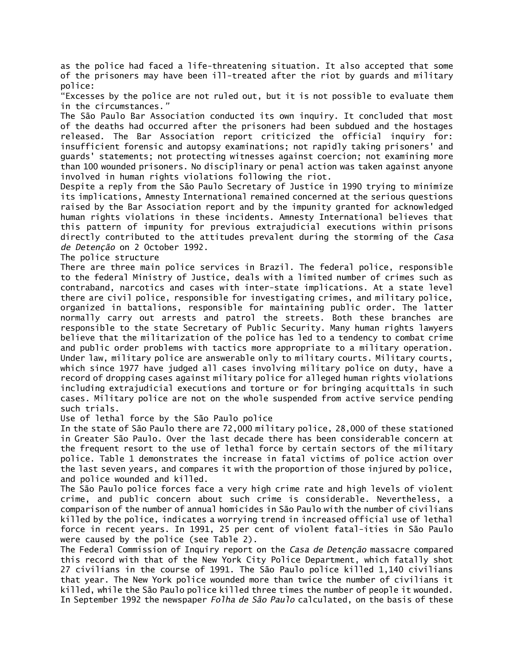as the police had faced a life-threatening situation. It also accepted that some of the prisoners may have been ill-treated after the riot by guards and military police:

"Excesses by the police are not ruled out, but it is not possible to evaluate them in the circumstances.*"*

The São Paulo Bar Association conducted its own inquiry. It concluded that most of the deaths had occurred after the prisoners had been subdued and the hostages released. The Bar Association report criticized the official inquiry for: insufficient forensic and autopsy examinations; not rapidly taking prisoners' and guards' statements; not protecting witnesses against coercion; not examining more than 100 wounded prisoners. No disciplinary or penal action was taken against anyone involved in human rights violations following the riot.

Despite a reply from the São Paulo Secretary of Justice in 1990 trying to minimize its implications, Amnesty International remained concerned at the serious questions raised by the Bar Association report and by the impunity granted for acknowledged human rights violations in these incidents. Amnesty International believes that this pattern of impunity for previous extrajudicial executions within prisons directly contributed to the attitudes prevalent during the storming of the *Casa de Detenção* on 2 October 1992.

The police structure

There are three main police services in Brazil. The federal police, responsible to the federal Ministry of Justice, deals with a limited number of crimes such as contraband, narcotics and cases with inter-state implications. At a state level there are civil police, responsible for investigating crimes, and military police, organized in battalions, responsible for maintaining public order. The latter normally carry out arrests and patrol the streets. Both these branches are responsible to the state Secretary of Public Security. Many human rights lawyers believe that the militarization of the police has led to a tendency to combat crime and public order problems with tactics more appropriate to a military operation. Under law, military police are answerable only to military courts. Military courts, which since 1977 have judged all cases involving military police on duty, have a record of dropping cases against military police for alleged human rights violations including extrajudicial executions and torture or for bringing acquittals in such cases. Military police are not on the whole suspended from active service pending such trials.

Use of lethal force by the São Paulo police

In the state of São Paulo there are 72,000 military police, 28,000 of these stationed in Greater São Paulo. Over the last decade there has been considerable concern at the frequent resort to the use of lethal force by certain sectors of the military police. Table 1 demonstrates the increase in fatal victims of police action over the last seven years, and compares it with the proportion of those injured by police, and police wounded and killed.

The São Paulo police forces face a very high crime rate and high levels of violent crime, and public concern about such crime is considerable. Nevertheless, a comparison of the number of annual homicides in São Paulo with the number of civilians killed by the police, indicates a worrying trend in increased official use of lethal force in recent years. In 1991, 25 per cent of violent fatal-ities in São Paulo were caused by the police (see Table 2).

The Federal Commission of Inquiry report on the *Casa de Detenção* massacre compared this record with that of the New York City Police Department, which fatally shot 27 civilians in the course of 1991. The São Paulo police killed 1,140 civilians that year. The New York police wounded more than twice the number of civilians it killed, while the São Paulo police killed three times the number of people it wounded. In September 1992 the newspaper *Folha de São Paulo* calculated, on the basis of these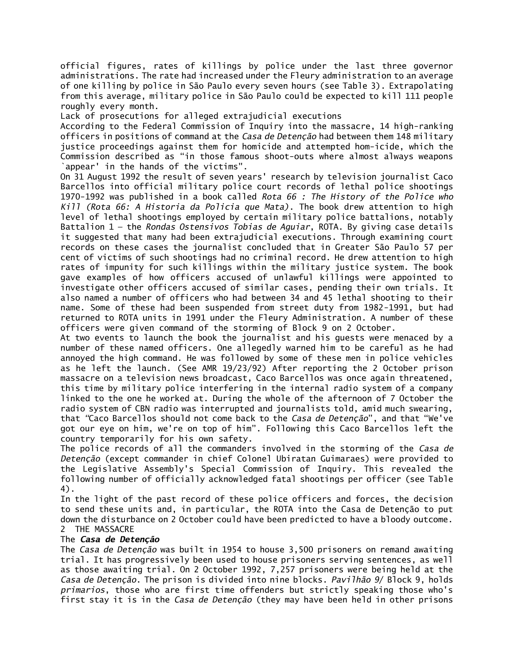official figures, rates of killings by police under the last three governor administrations. The rate had increased under the Fleury administration to an average of one killing by police in São Paulo every seven hours (see Table 3). Extrapolating from this average, military police in São Paulo could be expected to kill 111 people roughly every month.

Lack of prosecutions for alleged extrajudicial executions

According to the Federal Commission of Inquiry into the massacre, 14 high-ranking officers in positions of command at the *Casa de Detenção* had between them 148 military justice proceedings against them for homicide and attempted hom-icide, which the Commission described as "in those famous shoot-outs where almost always weapons `appear' in the hands of the victims".

On 31 August 1992 the result of seven years' research by television journalist Caco Barcellos into official military police court records of lethal police shootings 1970-1992 was published in a book called *Rota 66 : The History of the Police who Kill (Rota 66: A Historia da Policia que Mata)*. The book drew attention to high level of lethal shootings employed by certain military police battalions, notably Battalion 1 — the *Rondas Ostensivos Tobias de Aguiar*, ROTA. By giving case details it suggested that many had been extrajudicial executions. Through examining court records on these cases the journalist concluded that in Greater São Paulo 57 per cent of victims of such shootings had no criminal record. He drew attention to high rates of impunity for such killings within the military justice system. The book gave examples of how officers accused of unlawful killings were appointed to investigate other officers accused of similar cases, pending their own trials. It also named a number of officers who had between 34 and 45 lethal shooting to their name. Some of these had been suspended from street duty from 1982-1991, but had returned to ROTA units in 1991 under the Fleury Administration. A number of these officers were given command of the storming of Block 9 on 2 October.

At two events to launch the book the journalist and his guests were menaced by a number of these named officers. One allegedly warned him to be careful as he had annoyed the high command. He was followed by some of these men in police vehicles as he left the launch. (See AMR 19/23/92) After reporting the 2 October prison massacre on a television news broadcast, Caco Barcellos was once again threatened, this time by military police interfering in the internal radio system of a company linked to the one he worked at. During the whole of the afternoon of 7 October the radio system of CBN radio was interrupted and journalists told, amid much swearing, that *"*Caco Barcellos should not come back to the *Casa de Detenção*", and that "We've got our eye on him, we're on top of him". Following this Caco Barcellos left the country temporarily for his own safety.

The police records of all the commanders involved in the storming of the *Casa de Detenção* (except commander in chief Colonel Ubiratan Guimaraes) were provided to the Legislative Assembly's Special Commission of Inquiry. This revealed the following number of officially acknowledged fatal shootings per officer (see Table 4).

In the light of the past record of these police officers and forces, the decision to send these units and, in particular, the ROTA into the Casa de Detenção to put down the disturbance on 2 October could have been predicted to have a bloody outcome. 2 THE MASSACRE

## The *Casa de Detenção*

The *Casa de Detenção* was built in 1954 to house 3,500 prisoners on remand awaiting trial. It has progressively been used to house prisoners serving sentences, as well as those awaiting trial. On 2 October 1992, 7,257 prisoners were being held at the *Casa de Detenção*. The prison is divided into nine blocks. *Pavilhão 9*/ Block 9, holds *primarios*, those who are first time offenders but strictly speaking those who's first stay it is in the *Casa de Detenção* (they may have been held in other prisons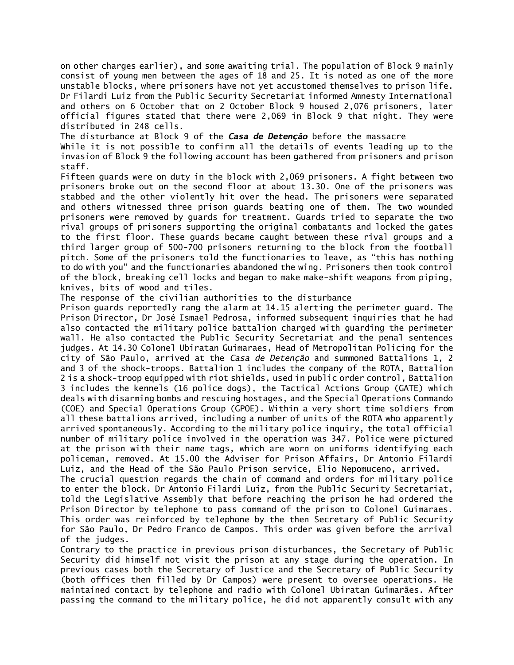on other charges earlier), and some awaiting trial. The population of Block 9 mainly consist of young men between the ages of 18 and 25. It is noted as one of the more unstable blocks, where prisoners have not yet accustomed themselves to prison life. Dr Filardi Luiz from the Public Security Secretariat informed Amnesty International and others on 6 October that on 2 October Block 9 housed 2,076 prisoners, later official figures stated that there were 2,069 in Block 9 that night. They were distributed in 248 cells.

The disturbance at Block 9 of the *Casa de Detenção* before the massacre

While it is not possible to confirm all the details of events leading up to the invasion of Block 9 the following account has been gathered from prisoners and prison staff.

Fifteen guards were on duty in the block with 2,069 prisoners. A fight between two prisoners broke out on the second floor at about 13.30. One of the prisoners was stabbed and the other violently hit over the head. The prisoners were separated and others witnessed three prison guards beating one of them. The two wounded prisoners were removed by guards for treatment. Guards tried to separate the two rival groups of prisoners supporting the original combatants and locked the gates to the first floor. These guards became caught between these rival groups and a third larger group of 500-700 prisoners returning to the block from the football pitch. Some of the prisoners told the functionaries to leave, as "this has nothing to do with you" and the functionaries abandoned the wing. Prisoners then took control of the block, breaking cell locks and began to make make-shift weapons from piping, knives, bits of wood and tiles.

The response of the civilian authorities to the disturbance

Prison guards reportedly rang the alarm at 14.15 alerting the perimeter guard. The Prison Director, Dr José Ismael Pedrosa, informed subsequent inquiries that he had also contacted the military police battalion charged with guarding the perimeter wall. He also contacted the Public Security Secretariat and the penal sentences judges. At 14.30 Colonel Ubiratan Guimaraes, Head of Metropolitan Policing for the city of São Paulo, arrived at the *Casa de Detenção* and summoned Battalions 1, 2 and 3 of the shock-troops. Battalion 1 includes the company of the ROTA, Battalion 2 is a shock-troop equipped with riot shields, used in public order control, Battalion 3 includes the kennels (16 police dogs), the Tactical Actions Group (GATE) which deals with disarming bombs and rescuing hostages, and the Special Operations Commando (COE) and Special Operations Group (GPOE). Within a very short time soldiers from all these battalions arrived, including a number of units of the ROTA who apparently arrived spontaneously. According to the military police inquiry, the total official number of military police involved in the operation was 347. Police were pictured at the prison with their name tags, which are worn on uniforms identifying each policeman, removed. At 15.00 the Adviser for Prison Affairs, Dr Antonio Filardi Luiz, and the Head of the São Paulo Prison service, Elio Nepomuceno, arrived.

The crucial question regards the chain of command and orders for military police to enter the block. Dr Antonio Filardi Luiz, from the Public Security Secretariat, told the Legislative Assembly that before reaching the prison he had ordered the Prison Director by telephone to pass command of the prison to Colonel Guimaraes. This order was reinforced by telephone by the then Secretary of Public Security for São Paulo, Dr Pedro Franco de Campos. This order was given before the arrival of the judges.

Contrary to the practice in previous prison disturbances, the Secretary of Public Security did himself not visit the prison at any stage during the operation. In previous cases both the Secretary of Justice and the Secretary of Public Security (both offices then filled by Dr Campos) were present to oversee operations. He maintained contact by telephone and radio with Colonel Ubiratan Guimarães. After passing the command to the military police, he did not apparently consult with any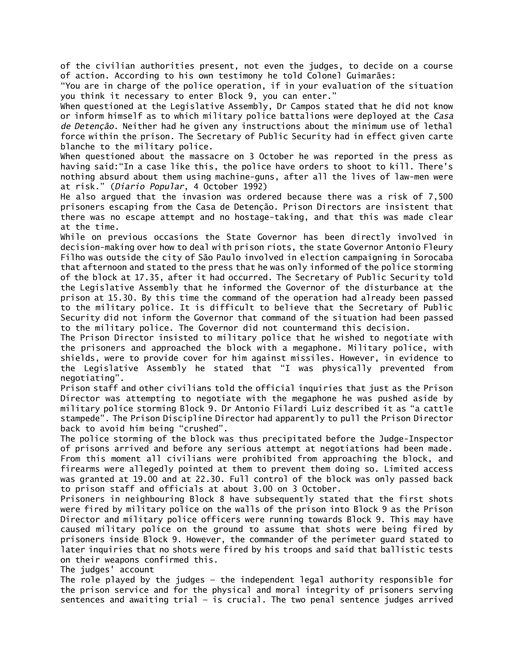of the civilian authorities present, not even the judges, to decide on a course of action. According to his own testimony he told Colonel Guimarães:

"You are in charge of the police operation, if in your evaluation of the situation you think it necessary to enter Block 9, you can enter."

When questioned at the Legislative Assembly, Dr Campos stated that he did not know or inform himself as to which military police battalions were deployed at the *Casa de Detenção*. Neither had he given any instructions about the minimum use of lethal force within the prison. The Secretary of Public Security had in effect given carte blanche to the military police.

When questioned about the massacre on 3 October he was reported in the press as having said:"In a case like this, the police have orders to shoot to kill. There's nothing absurd about them using machine-guns, after all the lives of law-men were at risk." (*Diario Popular*, 4 October 1992)

He also argued that the invasion was ordered because there was a risk of 7,500 prisoners escaping from the Casa de Detenção. Prison Directors are insistent that there was no escape attempt and no hostage-taking, and that this was made clear at the time.

While on previous occasions the State Governor has been directly involved in decision-making over how to deal with prison riots, the state Governor Antonio Fleury Filho was outside the city of São Paulo involved in election campaigning in Sorocaba that afternoon and stated to the press that he was only informed of the police storming of the block at 17.35, after it had occurred. The Secretary of Public Security told the Legislative Assembly that he informed the Governor of the disturbance at the prison at 15.30. By this time the command of the operation had already been passed to the military police. It is difficult to believe that the Secretary of Public Security did not inform the Governor that command of the situation had been passed to the military police. The Governor did not countermand this decision.

The Prison Director insisted to military police that he wished to negotiate with the prisoners and approached the block with a megaphone. Military police, with shields, were to provide cover for him against missiles. However, in evidence to the Legislative Assembly he stated that "I was physically prevented from negotiating".

Prison staff and other civilians told the official inquiries that just as the Prison Director was attempting to negotiate with the megaphone he was pushed aside by military police storming Block 9. Dr Antonio Filardi Luiz described it as "a cattle stampede". The Prison Discipline Director had apparently to pull the Prison Director back to avoid him being "crushed".

The police storming of the block was thus precipitated before the Judge-Inspector of prisons arrived and before any serious attempt at negotiations had been made. From this moment all civilians were prohibited from approaching the block, and firearms were allegedly pointed at them to prevent them doing so. Limited access was granted at 19.00 and at 22.30. Full control of the block was only passed back to prison staff and officials at about 3.00 on 3 October.

Prisoners in neighbouring Block 8 have subsequently stated that the first shots were fired by military police on the walls of the prison into Block 9 as the Prison Director and military police officers were running towards Block 9. This may have caused military police on the ground to assume that shots were being fired by prisoners inside Block 9. However, the commander of the perimeter guard stated to later inquiries that no shots were fired by his troops and said that ballistic tests on their weapons confirmed this.

The judges' account

The role played by the judges — the independent legal authority responsible for the prison service and for the physical and moral integrity of prisoners serving sentences and awaiting trial — is crucial. The two penal sentence judges arrived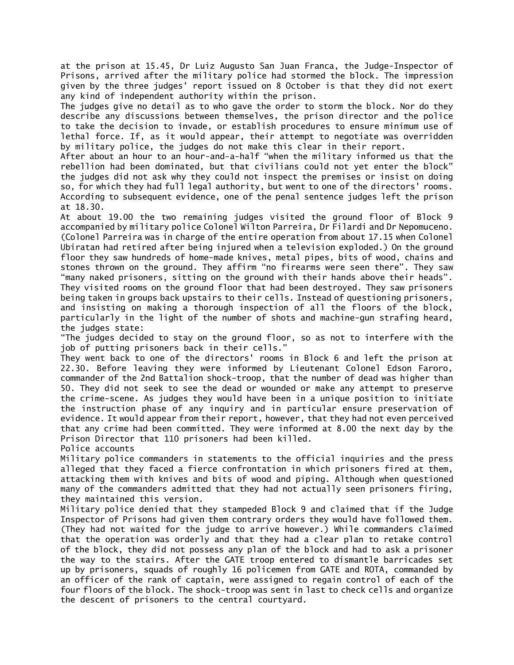at the prison at 15.45, Dr Luiz Augusto San Juan Franca, the Judge-Inspector of Prisons, arrived after the military police had stormed the block. The impression given by the three judges' report issued on 8 October is that they did not exert any kind of independent authority within the prison.

The judges give no detail as to who gave the order to storm the block. Nor do they describe any discussions between themselves, the prison director and the police to take the decision to invade, or establish procedures to ensure minimum use of lethal force. If, as it would appear, their attempt to negotiate was overridden by military police, the judges do not make this clear in their report.

After about an hour to an hour-and-a-half "when the military informed us that the rebellion had been dominated, but that civilians could not yet enter the block" the judges did not ask why they could not inspect the premises or insist on doing so, for which they had full legal authority, but went to one of the directors' rooms. According to subsequent evidence, one of the penal sentence judges left the prison at 18.30.

At about 19.00 the two remaining judges visited the ground floor of Block 9 accompanied by military police Colonel Wilton Parreira, Dr Filardi and Dr Nepomuceno. (Colonel Parreira was in charge of the entire operation from about 17.15 when Colonel Ubiratan had retired after being injured when a television exploded.) On the ground floor they saw hundreds of home-made knives, metal pipes, bits of wood, chains and stones thrown on the ground. They affirm "no firearms were seen there". They saw "many naked prisoners, sitting on the ground with their hands above their heads". They visited rooms on the ground floor that had been destroyed. They saw prisoners being taken in groups back upstairs to their cells. Instead of questioning prisoners, and insisting on making a thorough inspection of all the floors of the block, particularly in the light of the number of shots and machine-gun strafing heard, the judges state:

"The judges decided to stay on the ground floor, so as not to interfere with the job of putting prisoners back in their cells."

They went back to one of the directors' rooms in Block 6 and left the prison at 22.30. Before leaving they were informed by Lieutenant Colonel Edson Faroro, commander of the 2nd Battalion shock-troop, that the number of dead was higher than 50. They did not seek to see the dead or wounded or make any attempt to preserve the crime-scene. As judges they would have been in a unique position to initiate the instruction phase of any inquiry and in particular ensure preservation of evidence. It would appear from their report, however, that they had not even perceived that any crime had been committed. They were informed at 8.00 the next day by the Prison Director that 110 prisoners had been killed.

Police accounts

Military police commanders in statements to the official inquiries and the press alleged that they faced a fierce confrontation in which prisoners fired at them, attacking them with knives and bits of wood and piping. Although when questioned many of the commanders admitted that they had not actually seen prisoners firing, they maintained this version.

Military police denied that they stampeded Block 9 and claimed that if the Judge Inspector of Prisons had given them contrary orders they would have followed them. (They had not waited for the judge to arrive however.) While commanders claimed that the operation was orderly and that they had a clear plan to retake control of the block, they did not possess any plan of the block and had to ask a prisoner the way to the stairs. After the GATE troop entered to dismantle barricades set up by prisoners, squads of roughly 16 policemen from GATE and ROTA, commanded by an officer of the rank of captain, were assigned to regain control of each of the four floors of the block. The shock-troop was sent in last to check cells and organize the descent of prisoners to the central courtyard.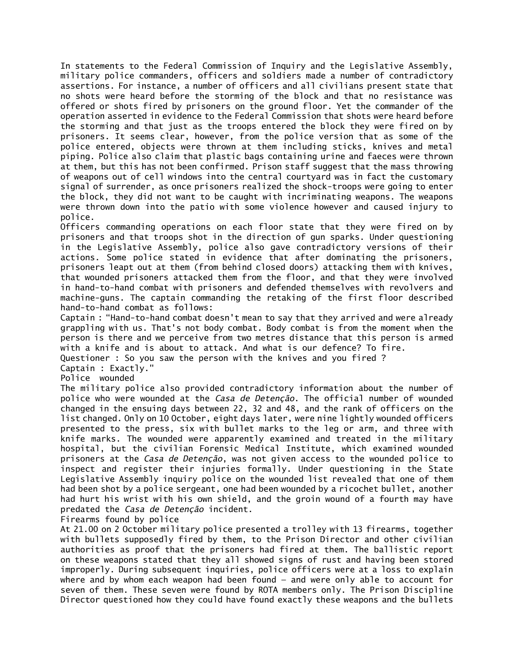In statements to the Federal Commission of Inquiry and the Legislative Assembly, military police commanders, officers and soldiers made a number of contradictory assertions. For instance, a number of officers and all civilians present state that no shots were heard before the storming of the block and that no resistance was offered or shots fired by prisoners on the ground floor. Yet the commander of the operation asserted in evidence to the Federal Commission that shots were heard before the storming and that just as the troops entered the block they were fired on by prisoners. It seems clear, however, from the police version that as some of the police entered, objects were thrown at them including sticks, knives and metal piping. Police also claim that plastic bags containing urine and faeces were thrown at them, but this has not been confirmed. Prison staff suggest that the mass throwing of weapons out of cell windows into the central courtyard was in fact the customary signal of surrender, as once prisoners realized the shock-troops were going to enter the block, they did not want to be caught with incriminating weapons. The weapons were thrown down into the patio with some violence however and caused injury to police.

Officers commanding operations on each floor state that they were fired on by prisoners and that troops shot in the direction of gun sparks. Under questioning in the Legislative Assembly, police also gave contradictory versions of their actions. Some police stated in evidence that after dominating the prisoners, prisoners leapt out at them (from behind closed doors) attacking them with knives, that wounded prisoners attacked them from the floor, and that they were involved in hand-to-hand combat with prisoners and defended themselves with revolvers and machine-guns. The captain commanding the retaking of the first floor described hand-to-hand combat as follows:

Captain : "Hand-to-hand combat doesn't mean to say that they arrived and were already grappling with us. That's not body combat. Body combat is from the moment when the person is there and we perceive from two metres distance that this person is armed with a knife and is about to attack. And what is our defence? To fire.

Questioner : So you saw the person with the knives and you fired ?

Captain : Exactly."

Police wounded

The military police also provided contradictory information about the number of police who were wounded at the *Casa de Detenção*. The official number of wounded changed in the ensuing days between 22, 32 and 48, and the rank of officers on the list changed. Only on 10 October, eight days later, were nine lightly wounded officers presented to the press, six with bullet marks to the leg or arm, and three with knife marks. The wounded were apparently examined and treated in the military hospital, but the civilian Forensic Medical Institute, which examined wounded prisoners at the *Casa de Detenção*, was not given access to the wounded police to inspect and register their injuries formally. Under questioning in the State Legislative Assembly inquiry police on the wounded list revealed that one of them had been shot by a police sergeant, one had been wounded by a ricochet bullet, another had hurt his wrist with his own shield, and the groin wound of a fourth may have predated the *Casa de Detenção* incident.

Firearms found by police

At 21.00 on 2 October military police presented a trolley with 13 firearms, together with bullets supposedly fired by them, to the Prison Director and other civilian authorities as proof that the prisoners had fired at them. The ballistic report on these weapons stated that they all showed signs of rust and having been stored improperly. During subsequent inquiries, police officers were at a loss to explain where and by whom each weapon had been found — and were only able to account for seven of them. These seven were found by ROTA members only. The Prison Discipline Director questioned how they could have found exactly these weapons and the bullets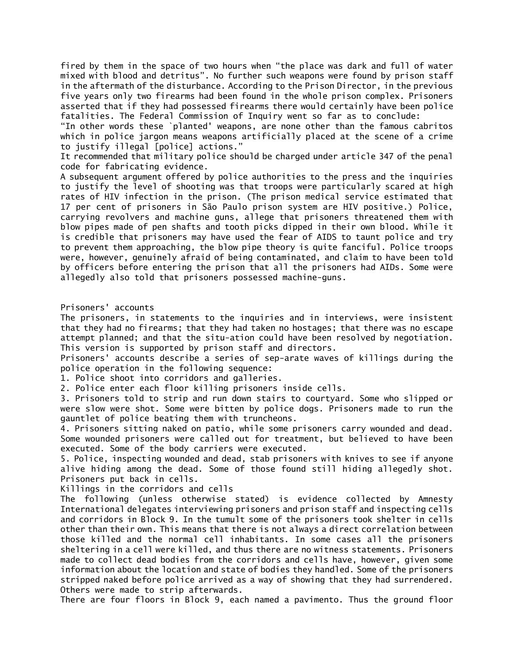fired by them in the space of two hours when "the place was dark and full of water mixed with blood and detritus". No further such weapons were found by prison staff in the aftermath of the disturbance. According to the Prison Director, in the previous five years only two firearms had been found in the whole prison complex. Prisoners asserted that if they had possessed firearms there would certainly have been police fatalities. The Federal Commission of Inquiry went so far as to conclude:

"In other words these `planted' weapons, are none other than the famous cabritos which in police jargon means weapons artificially placed at the scene of a crime to justify illegal [police] actions."

It recommended that military police should be charged under article 347 of the penal code for fabricating evidence.

A subsequent argument offered by police authorities to the press and the inquiries to justify the level of shooting was that troops were particularly scared at high rates of HIV infection in the prison. (The prison medical service estimated that 17 per cent of prisoners in São Paulo prison system are HIV positive.) Police, carrying revolvers and machine guns, allege that prisoners threatened them with blow pipes made of pen shafts and tooth picks dipped in their own blood. While it is credible that prisoners may have used the fear of AIDS to taunt police and try to prevent them approaching, the blow pipe theory is quite fanciful. Police troops were, however, genuinely afraid of being contaminated, and claim to have been told by officers before entering the prison that all the prisoners had AIDs. Some were allegedly also told that prisoners possessed machine-guns.

### Prisoners' accounts

The prisoners, in statements to the inquiries and in interviews, were insistent that they had no firearms; that they had taken no hostages; that there was no escape attempt planned; and that the situ-ation could have been resolved by negotiation. This version is supported by prison staff and directors.

Prisoners' accounts describe a series of sep-arate waves of killings during the police operation in the following sequence:

1. Police shoot into corridors and galleries.

2. Police enter each floor killing prisoners inside cells.

3. Prisoners told to strip and run down stairs to courtyard. Some who slipped or were slow were shot. Some were bitten by police dogs. Prisoners made to run the gauntlet of police beating them with truncheons.

4. Prisoners sitting naked on patio, while some prisoners carry wounded and dead. Some wounded prisoners were called out for treatment, but believed to have been executed. Some of the body carriers were executed.

5. Police, inspecting wounded and dead, stab prisoners with knives to see if anyone alive hiding among the dead. Some of those found still hiding allegedly shot. Prisoners put back in cells.

Killings in the corridors and cells

The following (unless otherwise stated) is evidence collected by Amnesty International delegates interviewing prisoners and prison staff and inspecting cells and corridors in Block 9. In the tumult some of the prisoners took shelter in cells other than their own. This means that there is not always a direct correlation between those killed and the normal cell inhabitants. In some cases all the prisoners sheltering in a cell were killed, and thus there are no witness statements. Prisoners made to collect dead bodies from the corridors and cells have, however, given some information about the location and state of bodies they handled. Some of the prisoners stripped naked before police arrived as a way of showing that they had surrendered. Others were made to strip afterwards.

There are four floors in Block 9, each named a pavimento. Thus the ground floor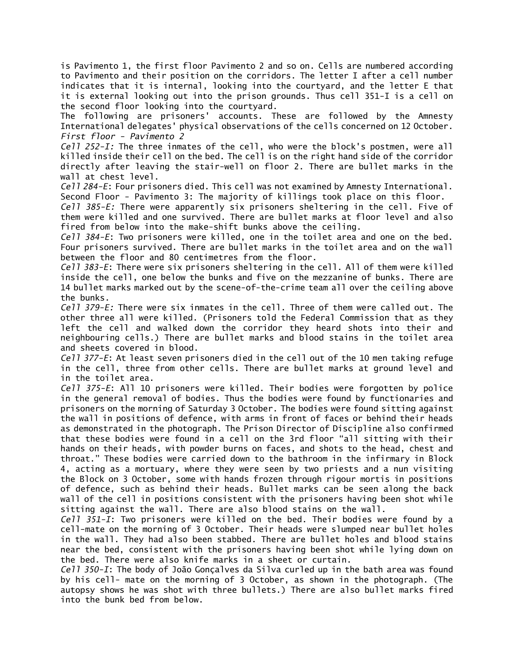is Pavimento 1, the first floor Pavimento 2 and so on. Cells are numbered according to Pavimento and their position on the corridors. The letter I after a cell number indicates that it is internal, looking into the courtyard, and the letter E that it is external looking out into the prison grounds. Thus cell 351-I is a cell on the second floor looking into the courtyard.

The following are prisoners' accounts. These are followed by the Amnesty International delegates' physical observations of the cells concerned on 12 October. *First floor - Pavimento 2*

*Cell 252-I:* The three inmates of the cell, who were the block's postmen, were all killed inside their cell on the bed. The cell is on the right hand side of the corridor directly after leaving the stair-well on floor 2. There are bullet marks in the wall at chest level.

*Cell 284-E*: Four prisoners died. This cell was not examined by Amnesty International. Second Floor - Pavimento 3: The majority of killings took place on this floor.

*Cell 385-E:* There were apparently six prisoners sheltering in the cell. Five of them were killed and one survived. There are bullet marks at floor level and also fired from below into the make-shift bunks above the ceiling.

*Cell 384-E*: Two prisoners were killed, one in the toilet area and one on the bed. Four prisoners survived. There are bullet marks in the toilet area and on the wall between the floor and 80 centimetres from the floor.

*Cell 383-E*: There were six prisoners sheltering in the cell. All of them were killed inside the cell, one below the bunks and five on the mezzanine of bunks. There are 14 bullet marks marked out by the scene-of-the-crime team all over the ceiling above the bunks.

*Cell 379-E:* There were six inmates in the cell. Three of them were called out. The other three all were killed. (Prisoners told the Federal Commission that as they left the cell and walked down the corridor they heard shots into their and neighbouring cells.) There are bullet marks and blood stains in the toilet area and sheets covered in blood.

*Cell 377-E*: At least seven prisoners died in the cell out of the 10 men taking refuge in the cell, three from other cells. There are bullet marks at ground level and in the toilet area.

*Cell 375-E*: All 10 prisoners were killed. Their bodies were forgotten by police in the general removal of bodies. Thus the bodies were found by functionaries and prisoners on the morning of Saturday 3 October. The bodies were found sitting against the wall in positions of defence, with arms in front of faces or behind their heads as demonstrated in the photograph. The Prison Director of Discipline also confirmed that these bodies were found in a cell on the 3rd floor "all sitting with their hands on their heads, with powder burns on faces, and shots to the head, chest and throat." These bodies were carried down to the bathroom in the infirmary in Block 4, acting as a mortuary, where they were seen by two priests and a nun visiting the Block on 3 October, some with hands frozen through rigour mortis in positions of defence, such as behind their heads. Bullet marks can be seen along the back wall of the cell in positions consistent with the prisoners having been shot while sitting against the wall. There are also blood stains on the wall.

*Cell 351-I*: Two prisoners were killed on the bed. Their bodies were found by a cell-mate on the morning of 3 October. Their heads were slumped near bullet holes in the wall. They had also been stabbed. There are bullet holes and blood stains near the bed, consistent with the prisoners having been shot while lying down on the bed. There were also knife marks in a sheet or curtain.

*Cell 350-I*: The body of João Gonçalves da Silva curled up in the bath area was found by his cell- mate on the morning of 3 October, as shown in the photograph. (The autopsy shows he was shot with three bullets.) There are also bullet marks fired into the bunk bed from below.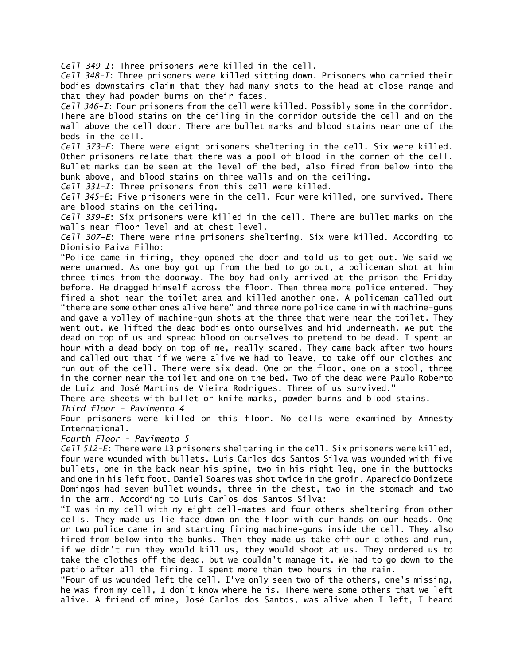*Cell 349-I*: Three prisoners were killed in the cell.

*Cell 348-I*: Three prisoners were killed sitting down. Prisoners who carried their bodies downstairs claim that they had many shots to the head at close range and that they had powder burns on their faces.

*Cell 346-I*: Four prisoners from the cell were killed. Possibly some in the corridor. There are blood stains on the ceiling in the corridor outside the cell and on the wall above the cell door. There are bullet marks and blood stains near one of the beds in the cell.

*Cell 373-E*: There were eight prisoners sheltering in the cell. Six were killed. Other prisoners relate that there was a pool of blood in the corner of the cell. Bullet marks can be seen at the level of the bed, also fired from below into the bunk above, and blood stains on three walls and on the ceiling.

*Cell 331-I*: Three prisoners from this cell were killed.

*Cell 345-E*: Five prisoners were in the cell. Four were killed, one survived. There are blood stains on the ceiling.

*Cell 339-E*: Six prisoners were killed in the cell. There are bullet marks on the walls near floor level and at chest level.

*Cell 307-E*: There were nine prisoners sheltering. Six were killed. According to Dionisio Paiva Filho:

"Police came in firing, they opened the door and told us to get out. We said we were unarmed. As one boy got up from the bed to go out, a policeman shot at him three times from the doorway. The boy had only arrived at the prison the Friday before. He dragged himself across the floor. Then three more police entered. They fired a shot near the toilet area and killed another one. A policeman called out "there are some other ones alive here" and three more police came in with machine-guns and gave a volley of machine-gun shots at the three that were near the toilet. They went out. We lifted the dead bodies onto ourselves and hid underneath. We put the dead on top of us and spread blood on ourselves to pretend to be dead. I spent an hour with a dead body on top of me, really scared. They came back after two hours and called out that if we were alive we had to leave, to take off our clothes and run out of the cell. There were six dead. One on the floor, one on a stool, three in the corner near the toilet and one on the bed. Two of the dead were Paulo Roberto de Luiz and José Martins de Vieira Rodrigues. Three of us survived."

There are sheets with bullet or knife marks, powder burns and blood stains.

*Third floor - Pavimento 4*

Four prisoners were killed on this floor. No cells were examined by Amnesty International.

*Fourth Floor - Pavimento 5*

*Cell 512-E*: There were 13 prisoners sheltering in the cell. Six prisoners were killed, four were wounded with bullets. Luis Carlos dos Santos Silva was wounded with five bullets, one in the back near his spine, two in his right leg, one in the buttocks and one in his left foot. Daniel Soares was shot twice in the groin. Aparecido Donizete Domingos had seven bullet wounds, three in the chest, two in the stomach and two in the arm. According to Luis Carlos dos Santos Silva:

"I was in my cell with my eight cell-mates and four others sheltering from other cells. They made us lie face down on the floor with our hands on our heads. One or two police came in and starting firing machine-guns inside the cell. They also fired from below into the bunks. Then they made us take off our clothes and run, if we didn't run they would kill us, they would shoot at us. They ordered us to take the clothes off the dead, but we couldn't manage it. We had to go down to the patio after all the firing. I spent more than two hours in the rain.

"Four of us wounded left the cell. I've only seen two of the others, one's missing, he was from my cell, I don't know where he is. There were some others that we left alive. A friend of mine, José Carlos dos Santos, was alive when I left, I heard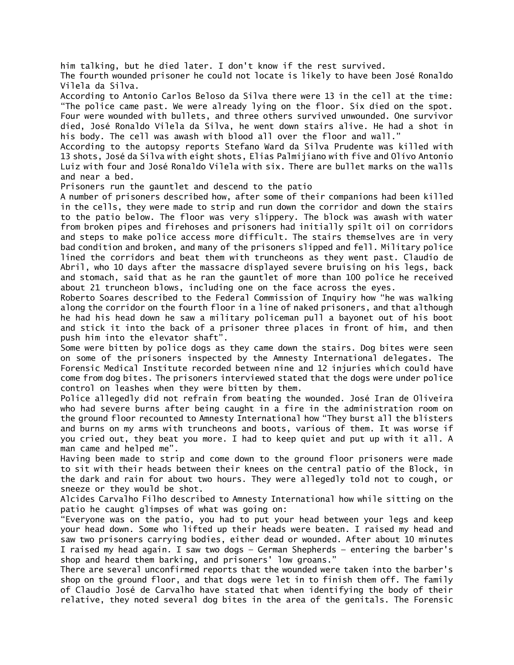him talking, but he died later. I don't know if the rest survived.

The fourth wounded prisoner he could not locate is likely to have been José Ronaldo Vilela da Silva.

According to Antonio Carlos Beloso da Silva there were 13 in the cell at the time: "The police came past. We were already lying on the floor. Six died on the spot. Four were wounded with bullets, and three others survived unwounded. One survivor died, José Ronaldo Vilela da Silva, he went down stairs alive. He had a shot in his body. The cell was awash with blood all over the floor and wall."

According to the autopsy reports Stefano Ward da Silva Prudente was killed with 13 shots, José da Silva with eight shots, Elias Palmijiano with five and Olívo Antonio Luiz with four and José Ronaldo Vilela with six. There are bullet marks on the walls and near a bed.

Prisoners run the gauntlet and descend to the patio

A number of prisoners described how, after some of their companions had been killed in the cells, they were made to strip and run down the corridor and down the stairs to the patio below. The floor was very slippery. The block was awash with water from broken pipes and firehoses and prisoners had initially spilt oil on corridors and steps to make police access more difficult. The stairs themselves are in very bad condition and broken, and many of the prisoners slipped and fell. Military police lined the corridors and beat them with truncheons as they went past. Claudio de Abril, who 10 days after the massacre displayed severe bruising on his legs, back and stomach, said that as he ran the gauntlet of more than 100 police he received about 21 truncheon blows, including one on the face across the eyes.

Roberto Soares described to the Federal Commission of Inquiry how "he was walking along the corridor on the fourth floor in a line of naked prisoners, and that although he had his head down he saw a military policeman pull a bayonet out of his boot and stick it into the back of a prisoner three places in front of him, and then push him into the elevator shaft".

Some were bitten by police dogs as they came down the stairs. Dog bites were seen on some of the prisoners inspected by the Amnesty International delegates. The Forensic Medical Institute recorded between nine and 12 injuries which could have come from dog bites. The prisoners interviewed stated that the dogs were under police control on leashes when they were bitten by them.

Police allegedly did not refrain from beating the wounded. José Iran de Oliveira who had severe burns after being caught in a fire in the administration room on the ground floor recounted to Amnesty International how "They burst all the blisters and burns on my arms with truncheons and boots, various of them. It was worse if you cried out, they beat you more. I had to keep quiet and put up with it all. A man came and helped me".

Having been made to strip and come down to the ground floor prisoners were made to sit with their heads between their knees on the central patio of the Block, in the dark and rain for about two hours. They were allegedly told not to cough, or sneeze or they would be shot.

Alcides Carvalho Filho described to Amnesty International how while sitting on the patio he caught glimpses of what was going on:

"Everyone was on the patio, you had to put your head between your legs and keep your head down. Some who lifted up their heads were beaten. I raised my head and saw two prisoners carrying bodies, either dead or wounded. After about 10 minutes I raised my head again. I saw two dogs — German Shepherds — entering the barber's shop and heard them barking, and prisoners' low groans."

There are several unconfirmed reports that the wounded were taken into the barber's shop on the ground floor, and that dogs were let in to finish them off. The family of Claudio José de Carvalho have stated that when identifying the body of their relative, they noted several dog bites in the area of the genitals. The Forensic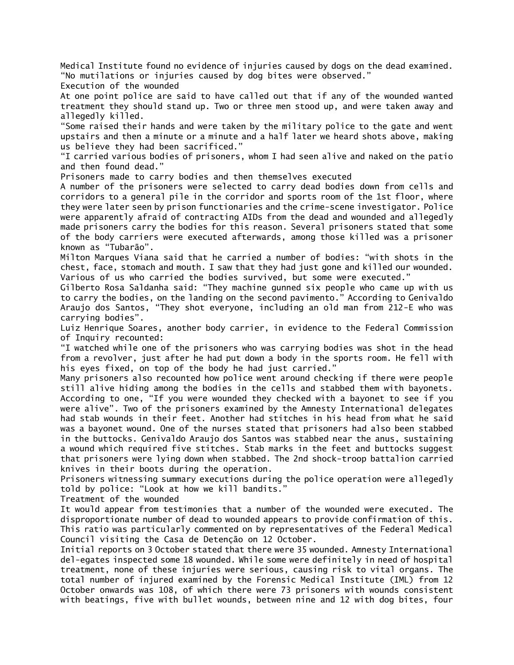Medical Institute found no evidence of injuries caused by dogs on the dead examined. "No mutilations or injuries caused by dog bites were observed."

Execution of the wounded

At one point police are said to have called out that if any of the wounded wanted treatment they should stand up. Two or three men stood up, and were taken away and allegedly killed.

"Some raised their hands and were taken by the military police to the gate and went upstairs and then a minute or a minute and a half later we heard shots above, making us believe they had been sacrificed."

"I carried various bodies of prisoners, whom I had seen alive and naked on the patio and then found dead."

Prisoners made to carry bodies and then themselves executed

A number of the prisoners were selected to carry dead bodies down from cells and corridors to a general pile in the corridor and sports room of the 1st floor, where they were later seen by prison functionaries and the crime-scene investigator. Police were apparently afraid of contracting AIDs from the dead and wounded and allegedly made prisoners carry the bodies for this reason. Several prisoners stated that some of the body carriers were executed afterwards, among those killed was a prisoner known as "Tubarão".

Milton Marques Viana said that he carried a number of bodies: "with shots in the chest, face, stomach and mouth. I saw that they had just gone and killed our wounded. Various of us who carried the bodies survived, but some were executed."

Gilberto Rosa Saldanha said: "They machine gunned six people who came up with us to carry the bodies, on the landing on the second pavimento." According to Genivaldo Araujo dos Santos, "They shot everyone, including an old man from 212-E who was carrying bodies".

Luiz Henrique Soares, another body carrier, in evidence to the Federal Commission of Inquiry recounted:

"I watched while one of the prisoners who was carrying bodies was shot in the head from a revolver, just after he had put down a body in the sports room. He fell with his eyes fixed, on top of the body he had just carried."

Many prisoners also recounted how police went around checking if there were people still alive hiding among the bodies in the cells and stabbed them with bayonets. According to one, "If you were wounded they checked with a bayonet to see if you were alive". Two of the prisoners examined by the Amnesty International delegates had stab wounds in their feet. Another had stitches in his head from what he said was a bayonet wound. One of the nurses stated that prisoners had also been stabbed in the buttocks. Genivaldo Araujo dos Santos was stabbed near the anus, sustaining a wound which required five stitches. Stab marks in the feet and buttocks suggest that prisoners were lying down when stabbed. The 2nd shock-troop battalion carried knives in their boots during the operation.

Prisoners witnessing summary executions during the police operation were allegedly told by police: "Look at how we kill bandits."

Treatment of the wounded

It would appear from testimonies that a number of the wounded were executed. The disproportionate number of dead to wounded appears to provide confirmation of this. This ratio was particularly commented on by representatives of the Federal Medical Council visiting the Casa de Detenção on 12 October.

Initial reports on 3 October stated that there were 35 wounded. Amnesty International del-egates inspected some 18 wounded. While some were definitely in need of hospital treatment, none of these injuries were serious, causing risk to vital organs. The total number of injured examined by the Forensic Medical Institute (IML) from 12 October onwards was 108, of which there were 73 prisoners with wounds consistent with beatings, five with bullet wounds, between nine and 12 with dog bites, four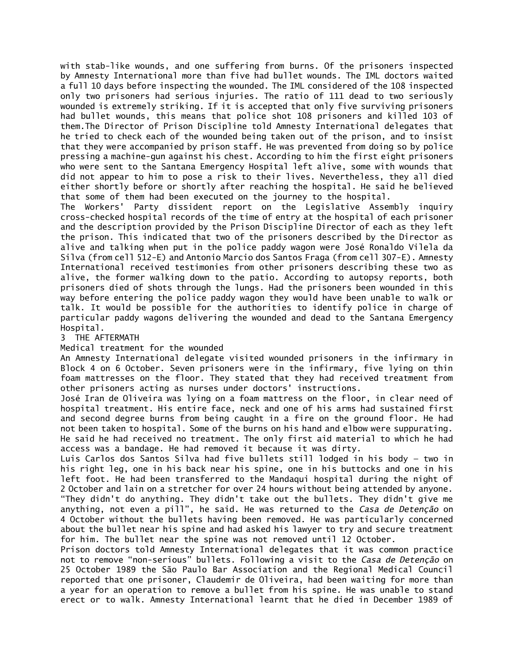with stab-like wounds, and one suffering from burns. Of the prisoners inspected by Amnesty International more than five had bullet wounds. The IML doctors waited a full 10 days before inspecting the wounded. The IML considered of the 108 inspected only two prisoners had serious injuries. The ratio of 111 dead to two seriously wounded is extremely striking. If it is accepted that only five surviving prisoners had bullet wounds, this means that police shot 108 prisoners and killed 103 of them.The Director of Prison Discipline told Amnesty International delegates that he tried to check each of the wounded being taken out of the prison, and to insist that they were accompanied by prison staff. He was prevented from doing so by police pressing a machine-gun against his chest. According to him the first eight prisoners who were sent to the Santana Emergency Hospital left alive, some with wounds that did not appear to him to pose a risk to their lives. Nevertheless, they all died either shortly before or shortly after reaching the hospital. He said he believed that some of them had been executed on the journey to the hospital.

The Workers' Party dissident report on the Legislative Assembly inquiry cross-checked hospital records of the time of entry at the hospital of each prisoner and the description provided by the Prison Discipline Director of each as they left the prison. This indicated that two of the prisoners described by the Director as alive and talking when put in the police paddy wagon were José Ronaldo Vilela da Silva (from cell 512-E) and Antonio Marcio dos Santos Fraga (from cell 307-E). Amnesty International received testimonies from other prisoners describing these two as alive, the former walking down to the patio. According to autopsy reports, both prisoners died of shots through the lungs. Had the prisoners been wounded in this way before entering the police paddy wagon they would have been unable to walk or talk. It would be possible for the authorities to identify police in charge of particular paddy wagons delivering the wounded and dead to the Santana Emergency Hospital.

## 3 THE AFTERMATH

## Medical treatment for the wounded

An Amnesty International delegate visited wounded prisoners in the infirmary in Block 4 on 6 October. Seven prisoners were in the infirmary, five lying on thin foam mattresses on the floor. They stated that they had received treatment from other prisoners acting as nurses under doctors' instructions.

José Iran de Oliveira was lying on a foam mattress on the floor, in clear need of hospital treatment. His entire face, neck and one of his arms had sustained first and second degree burns from being caught in a fire on the ground floor. He had not been taken to hospital. Some of the burns on his hand and elbow were suppurating. He said he had received no treatment. The only first aid material to which he had access was a bandage. He had removed it because it was dirty.

Luis Carlos dos Santos Silva had five bullets still lodged in his body — two in his right leg, one in his back near his spine, one in his buttocks and one in his left foot. He had been transferred to the Mandaqui hospital during the night of 2 October and lain on a stretcher for over 24 hours without being attended by anyone. "They didn't do anything. They didn't take out the bullets. They didn't give me anything, not even a pill", he said. He was returned to the *Casa de Detenção* on 4 October without the bullets having been removed. He was particularly concerned about the bullet near his spine and had asked his lawyer to try and secure treatment for him. The bullet near the spine was not removed until 12 October.

Prison doctors told Amnesty International delegates that it was common practice not to remove "non-serious" bullets. Following a visit to the *Casa de Detenção* on 25 October 1989 the São Paulo Bar Association and the Regional Medical Council reported that one prisoner, Claudemir de Oliveira, had been waiting for more than a year for an operation to remove a bullet from his spine. He was unable to stand erect or to walk. Amnesty International learnt that he died in December 1989 of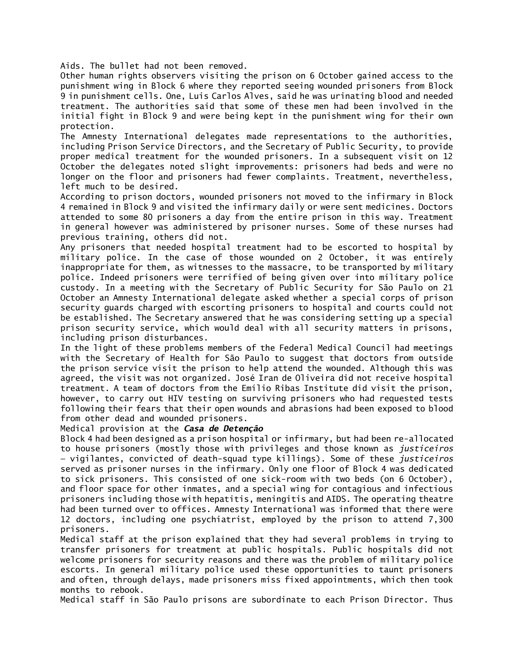Aids. The bullet had not been removed.

Other human rights observers visiting the prison on 6 October gained access to the punishment wing in Block 6 where they reported seeing wounded prisoners from Block 9 in punishment cells. One, Luis Carlos Alves, said he was urinating blood and needed treatment. The authorities said that some of these men had been involved in the initial fight in Block 9 and were being kept in the punishment wing for their own protection.

The Amnesty International delegates made representations to the authorities, including Prison Service Directors, and the Secretary of Public Security, to provide proper medical treatment for the wounded prisoners. In a subsequent visit on 12 October the delegates noted slight improvements: prisoners had beds and were no longer on the floor and prisoners had fewer complaints. Treatment, nevertheless, left much to be desired.

According to prison doctors, wounded prisoners not moved to the infirmary in Block 4 remained in Block 9 and visited the infirmary daily or were sent medicines. Doctors attended to some 80 prisoners a day from the entire prison in this way. Treatment in general however was administered by prisoner nurses. Some of these nurses had previous training, others did not.

Any prisoners that needed hospital treatment had to be escorted to hospital by military police. In the case of those wounded on 2 October, it was entirely inappropriate for them, as witnesses to the massacre, to be transported by military police. Indeed prisoners were terrified of being given over into military police custody. In a meeting with the Secretary of Public Security for São Paulo on 21 October an Amnesty International delegate asked whether a special corps of prison security guards charged with escorting prisoners to hospital and courts could not be established. The Secretary answered that he was considering setting up a special prison security service, which would deal with all security matters in prisons, including prison disturbances.

In the light of these problems members of the Federal Medical Council had meetings with the Secretary of Health for São Paulo to suggest that doctors from outside the prison service visit the prison to help attend the wounded. Although this was agreed, the visit was not organized. José Iran de Oliveira did not receive hospital treatment. A team of doctors from the Emílio Ribas Institute did visit the prison, however, to carry out HIV testing on surviving prisoners who had requested tests following their fears that their open wounds and abrasions had been exposed to blood from other dead and wounded prisoners.

#### Medical provision at the *Casa de Detenção*

Block 4 had been designed as a prison hospital or infirmary, but had been re-allocated to house prisoners (mostly those with privileges and those known as *justiceiros* — vigilantes, convicted of death-squad type killings). Some of these *justiceiros* served as prisoner nurses in the infirmary. Only one floor of Block 4 was dedicated to sick prisoners. This consisted of one sick-room with two beds (on 6 October), and floor space for other inmates, and a special wing for contagious and infectious prisoners including those with hepatitis, meningitis and AIDS. The operating theatre had been turned over to offices. Amnesty International was informed that there were 12 doctors, including one psychiatrist, employed by the prison to attend 7,300 prisoners.

Medical staff at the prison explained that they had several problems in trying to transfer prisoners for treatment at public hospitals. Public hospitals did not welcome prisoners for security reasons and there was the problem of military police escorts. In general military police used these opportunities to taunt prisoners and often, through delays, made prisoners miss fixed appointments, which then took months to rebook.

Medical staff in São Paulo prisons are subordinate to each Prison Director. Thus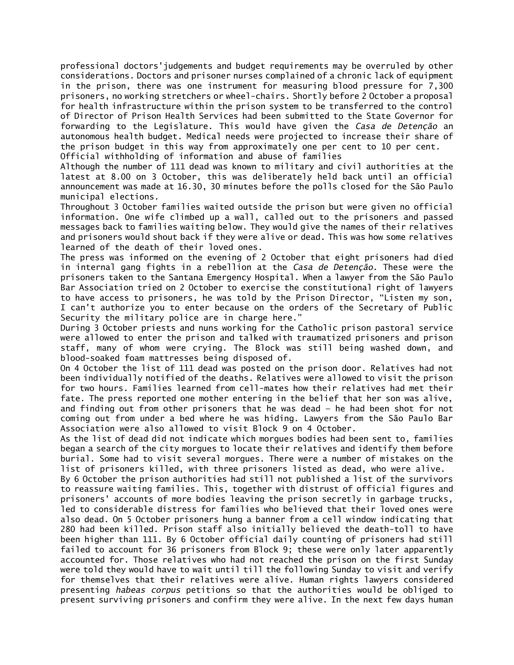professional doctors'judgements and budget requirements may be overruled by other considerations. Doctors and prisoner nurses complained of a chronic lack of equipment in the prison, there was one instrument for measuring blood pressure for 7,300 prisoners, no working stretchers or wheel-chairs. Shortly before 2 October a proposal for health infrastructure within the prison system to be transferred to the control of Director of Prison Health Services had been submitted to the State Governor for forwarding to the Legislature. This would have given the *Casa de Detenção* an autonomous health budget. Medical needs were projected to increase their share of the prison budget in this way from approximately one per cent to 10 per cent. Official withholding of information and abuse of families

Although the number of 111 dead was known to military and civil authorities at the latest at 8.00 on 3 October, this was deliberately held back until an official announcement was made at 16.30, 30 minutes before the polls closed for the São Paulo municipal elections.

Throughout 3 October families waited outside the prison but were given no official information. One wife climbed up a wall, called out to the prisoners and passed messages back to families waiting below. They would give the names of their relatives and prisoners would shout back if they were alive or dead. This was how some relatives learned of the death of their loved ones.

The press was informed on the evening of 2 October that eight prisoners had died in internal gang fights in a rebellion at the *Casa de Detenção*. These were the prisoners taken to the Santana Emergency Hospital. When a lawyer from the São Paulo Bar Association tried on 2 October to exercise the constitutional right of lawyers to have access to prisoners, he was told by the Prison Director, "Listen my son, I can't authorize you to enter because on the orders of the Secretary of Public Security the military police are in charge here."

During 3 October priests and nuns working for the Catholic prison pastoral service were allowed to enter the prison and talked with traumatized prisoners and prison staff, many of whom were crying. The Block was still being washed down, and blood-soaked foam mattresses being disposed of.

On 4 October the list of 111 dead was posted on the prison door. Relatives had not been individually notified of the deaths. Relatives were allowed to visit the prison for two hours. Families learned from cell-mates how their relatives had met their fate. The press reported one mother entering in the belief that her son was alive, and finding out from other prisoners that he was dead — he had been shot for not coming out from under a bed where he was hiding. Lawyers from the São Paulo Bar Association were also allowed to visit Block 9 on 4 October.

As the list of dead did not indicate which morgues bodies had been sent to, families began a search of the city morgues to locate their relatives and identify them before burial. Some had to visit several morgues. There were a number of mistakes on the list of prisoners killed, with three prisoners listed as dead, who were alive.

By 6 October the prison authorities had still not published a list of the survivors to reassure waiting families. This, together with distrust of official figures and prisoners' accounts of more bodies leaving the prison secretly in garbage trucks, led to considerable distress for families who believed that their loved ones were also dead. On 5 October prisoners hung a banner from a cell window indicating that 280 had been killed. Prison staff also initially believed the death-toll to have been higher than 111. By 6 October official daily counting of prisoners had still failed to account for 36 prisoners from Block 9; these were only later apparently accounted for. Those relatives who had not reached the prison on the first Sunday were told they would have to wait until till the following Sunday to visit and verify for themselves that their relatives were alive. Human rights lawyers considered presenting *habeas corpus* petitions so that the authorities would be obliged to present surviving prisoners and confirm they were alive. In the next few days human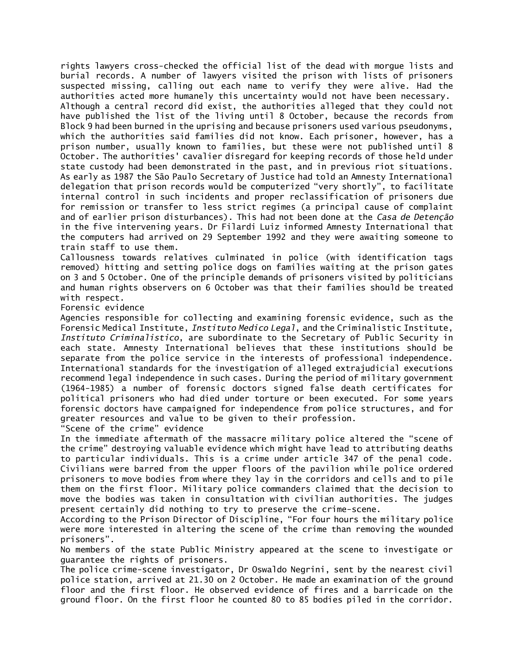rights lawyers cross-checked the official list of the dead with morgue lists and burial records. A number of lawyers visited the prison with lists of prisoners suspected missing, calling out each name to verify they were alive. Had the authorities acted more humanely this uncertainty would not have been necessary. Although a central record did exist, the authorities alleged that they could not have published the list of the living until 8 October, because the records from Block 9 had been burned in the uprising and because prisoners used various pseudonyms, which the authorities said families did not know. Each prisoner, however, has a prison number, usually known to families, but these were not published until 8 October. The authorities' cavalier disregard for keeping records of those held under state custody had been demonstrated in the past, and in previous riot situations. As early as 1987 the São Paulo Secretary of Justice had told an Amnesty International delegation that prison records would be computerized "very shortly", to facilitate internal control in such incidents and proper reclassification of prisoners due for remission or transfer to less strict regimes (a principal cause of complaint and of earlier prison disturbances). This had not been done at the *Casa de Detenção* in the five intervening years. Dr Filardi Luiz informed Amnesty International that the computers had arrived on 29 September 1992 and they were awaiting someone to train staff to use them.

Callousness towards relatives culminated in police (with identification tags removed) hitting and setting police dogs on families waiting at the prison gates on 3 and 5 October. One of the principle demands of prisoners visited by politicians and human rights observers on 6 October was that their families should be treated with respect.

Forensic evidence

Agencies responsible for collecting and examining forensic evidence, such as the Forensic Medical Institute, *Instituto Medico Legal*, and the Criminalistic Institute, *Instituto Criminalistico*, are subordinate to the Secretary of Public Security in each state. Amnesty International believes that these institutions should be separate from the police service in the interests of professional independence. International standards for the investigation of alleged extrajudicial executions recommend legal independence in such cases. During the period of military government (1964-1985) a number of forensic doctors signed false death certificates for political prisoners who had died under torture or been executed. For some years forensic doctors have campaigned for independence from police structures, and for greater resources and value to be given to their profession.

"Scene of the crime" evidence

In the immediate aftermath of the massacre military police altered the "scene of the crime" destroying valuable evidence which might have lead to attributing deaths to particular individuals. This is a crime under article 347 of the penal code. Civilians were barred from the upper floors of the pavilion while police ordered prisoners to move bodies from where they lay in the corridors and cells and to pile them on the first floor. Military police commanders claimed that the decision to move the bodies was taken in consultation with civilian authorities. The judges present certainly did nothing to try to preserve the crime-scene.

According to the Prison Director of Discipline, "For four hours the military police were more interested in altering the scene of the crime than removing the wounded prisoners".

No members of the state Public Ministry appeared at the scene to investigate or guarantee the rights of prisoners.

The police crime-scene investigator, Dr Oswaldo Negrini, sent by the nearest civil police station, arrived at 21.30 on 2 October. He made an examination of the ground floor and the first floor. He observed evidence of fires and a barricade on the ground floor. On the first floor he counted 80 to 85 bodies piled in the corridor.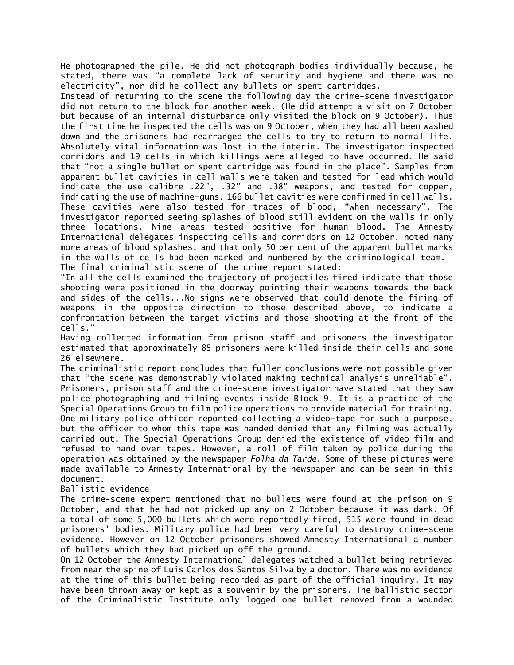He photographed the pile. He did not photograph bodies individually because, he stated, there was "a complete lack of security and hygiene and there was no electricity", nor did he collect any bullets or spent cartridges.

Instead of returning to the scene the following day the crime-scene investigator did not return to the block for another week. (He did attempt a visit on 7 October but because of an internal disturbance only visited the block on 9 October). Thus the first time he inspected the cells was on 9 October, when they had all been washed down and the prisoners had rearranged the cells to try to return to normal life. Absolutely vital information was lost in the interim. The investigator inspected corridors and 19 cells in which killings were alleged to have occurred. He said that "not a single bullet or spent cartridge was found in the place". Samples from apparent bullet cavities in cell walls were taken and tested for lead which would indicate the use calibre .22", .32" and .38" weapons, and tested for copper, indicating the use of machine-guns. 166 bullet cavities were confirmed in cell walls. These cavities were also tested for traces of blood, "when necessary". The investigator reported seeing splashes of blood still evident on the walls in only three locations. Nine areas tested positive for human blood. The Amnesty International delegates inspecting cells and corridors on 12 October, noted many more areas of blood splashes, and that only 50 per cent of the apparent bullet marks in the walls of cells had been marked and numbered by the criminological team. The final criminalistic scene of the crime report stated:

"In all the cells examined the trajectory of projectiles fired indicate that those shooting were positioned in the doorway pointing their weapons towards the back and sides of the cells...No signs were observed that could denote the firing of weapons in the opposite direction to those described above, to indicate a confrontation between the target victims and those shooting at the front of the cells."

Having collected information from prison staff and prisoners the investigator estimated that approximately 85 prisoners were killed inside their cells and some 26 elsewhere.

The criminalistic report concludes that fuller conclusions were not possible given that "the scene was demonstrably violated making technical analysis unreliable". Prisoners, prison staff and the crime-scene investigator have stated that they saw police photographing and filming events inside Block 9. It is a practice of the Special Operations Group to film police operations to provide material for training. One military police officer reported collecting a video-tape for such a purpose, but the officer to whom this tape was handed denied that any filming was actually carried out. The Special Operations Group denied the existence of video film and refused to hand over tapes. However, a roll of film taken by police during the operation was obtained by the newspaper *Folha da Tarde*. Some of these pictures were made available to Amnesty International by the newspaper and can be seen in this document.

# Ballistic evidence

The crime-scene expert mentioned that no bullets were found at the prison on 9 October, and that he had not picked up any on 2 October because it was dark. Of a total of some 5,000 bullets which were reportedly fired, 515 were found in dead prisoners' bodies. Military police had been very careful to destroy crime-scene evidence. However on 12 October prisoners showed Amnesty International a number of bullets which they had picked up off the ground.

On 12 October the Amnesty International delegates watched a bullet being retrieved from near the spine of Luis Carlos dos Santos Silva by a doctor. There was no evidence at the time of this bullet being recorded as part of the official inquiry. It may have been thrown away or kept as a souvenir by the prisoners. The ballistic sector of the Criminalistic Institute only logged one bullet removed from a wounded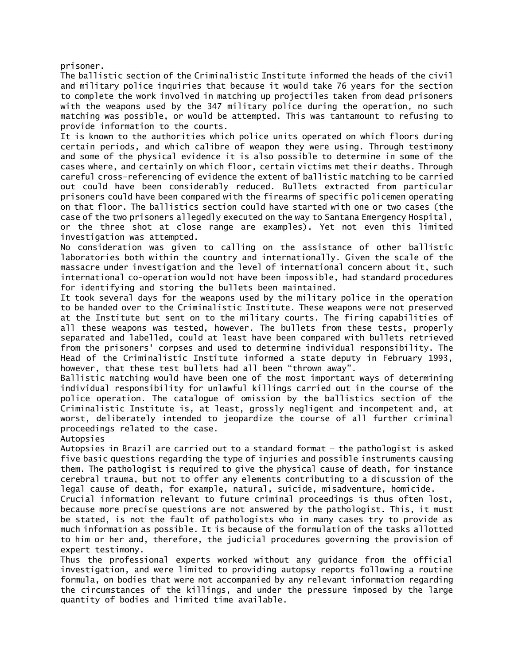prisoner.

The ballistic section of the Criminalistic Institute informed the heads of the civil and military police inquiries that because it would take 76 years for the section to complete the work involved in matching up projectiles taken from dead prisoners with the weapons used by the 347 military police during the operation, no such matching was possible, or would be attempted. This was tantamount to refusing to provide information to the courts.

It is known to the authorities which police units operated on which floors during certain periods, and which calibre of weapon they were using. Through testimony and some of the physical evidence it is also possible to determine in some of the cases where, and certainly on which floor, certain victims met their deaths. Through careful cross-referencing of evidence the extent of ballistic matching to be carried out could have been considerably reduced. Bullets extracted from particular prisoners could have been compared with the firearms of specific policemen operating on that floor. The ballistics section could have started with one or two cases (the case of the two prisoners allegedly executed on the way to Santana Emergency Hospital, or the three shot at close range are examples). Yet not even this limited investigation was attempted.

No consideration was given to calling on the assistance of other ballistic laboratories both within the country and internationally. Given the scale of the massacre under investigation and the level of international concern about it, such international co-operation would not have been impossible, had standard procedures for identifying and storing the bullets been maintained.

It took several days for the weapons used by the military police in the operation to be handed over to the Criminalistic Institute. These weapons were not preserved at the Institute but sent on to the military courts. The firing capabilities of all these weapons was tested, however. The bullets from these tests, properly separated and labelled, could at least have been compared with bullets retrieved from the prisoners' corpses and used to determine individual responsibility. The Head of the Criminalistic Institute informed a state deputy in February 1993, however, that these test bullets had all been "thrown away".

Ballistic matching would have been one of the most important ways of determining individual responsibility for unlawful killings carried out in the course of the police operation. The catalogue of omission by the ballistics section of the Criminalistic Institute is, at least, grossly negligent and incompetent and, at worst, deliberately intended to jeopardize the course of all further criminal proceedings related to the case.

Autopsies

Autopsies in Brazil are carried out to a standard format — the pathologist is asked five basic questions regarding the type of injuries and possible instruments causing them. The pathologist is required to give the physical cause of death, for instance cerebral trauma, but not to offer any elements contributing to a discussion of the legal cause of death, for example, natural, suicide, misadventure, homicide.

Crucial information relevant to future criminal proceedings is thus often lost, because more precise questions are not answered by the pathologist. This, it must be stated, is not the fault of pathologists who in many cases try to provide as much information as possible. It is because of the formulation of the tasks allotted to him or her and, therefore, the judicial procedures governing the provision of expert testimony.

Thus the professional experts worked without any guidance from the official investigation, and were limited to providing autopsy reports following a routine formula, on bodies that were not accompanied by any relevant information regarding the circumstances of the killings, and under the pressure imposed by the large quantity of bodies and limited time available.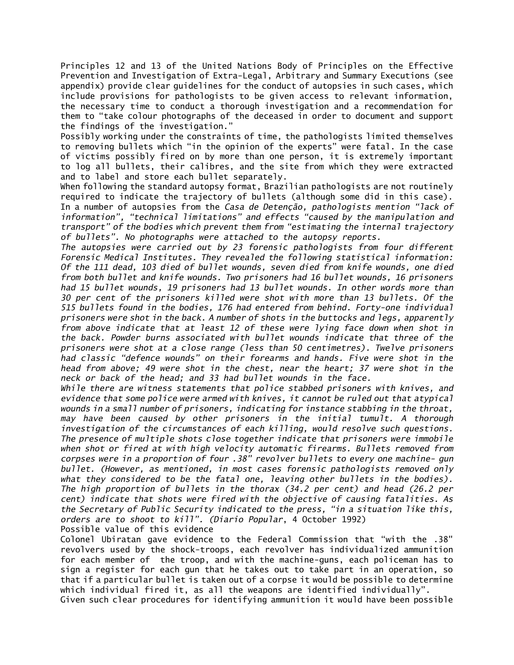Principles 12 and 13 of the United Nations Body of Principles on the Effective Prevention and Investigation of Extra-Legal, Arbitrary and Summary Executions (see appendix) provide clear guidelines for the conduct of autopsies in such cases, which include provisions for pathologists to be given access to relevant information, the necessary time to conduct a thorough investigation and a recommendation for them to "take colour photographs of the deceased in order to document and support the findings of the investigation."

Possibly working under the constraints of time, the pathologists limited themselves to removing bullets which "in the opinion of the experts" were fatal. In the case of victims possibly fired on by more than one person, it is extremely important to log all bullets, their calibres, and the site from which they were extracted and to label and store each bullet separately.

When following the standard autopsy format, Brazilian pathologists are not routinely required to indicate the trajectory of bullets (although some did in this case). In a number of autopsies from the *Casa de Detenção, pathologists mention "lack of information", "technical limitations" and effects "caused by the manipulation and transport" of the bodies which prevent them from "estimating the internal trajectory of bullets". No photographs were attached to the autopsy reports.*

*The autopsies were carried out by 23 forensic pathologists from four different Forensic Medical Institutes. They revealed the following statistical information: Of the 111 dead, 103 died of bullet wounds, seven died from knife wounds, one died from both bullet and knife wounds. Two prisoners had 16 bullet wounds, 16 prisoners had 15 bullet wounds, 19 prisoners had 13 bullet wounds. In other words more than 30 per cent of the prisoners killed were shot with more than 13 bullets. Of the 515 bullets found in the bodies, 176 had entered from behind. Forty-one individual prisoners were shot in the back. A number of shots in the buttocks and legs, apparently from above indicate that at least 12 of these were lying face down when shot in the back. Powder burns associated with bullet wounds indicate that three of the prisoners were shot at a close range (less than 50 centimetres). Twelve prisoners had classic "defence wounds" on their forearms and hands. Five were shot in the head from above; 49 were shot in the chest, near the heart; 37 were shot in the neck or back of the head; and 33 had bullet wounds in the face.*

*While there are witness statements that police stabbed prisoners with knives, and evidence that some police were armed with knives, it cannot be ruled out that atypical wounds in a small number of prisoners, indicating for instance stabbing in the throat, may have been caused by other prisoners in the initial tumult. A thorough investigation of the circumstances of each killing, would resolve such questions. The presence of multiple shots close together indicate that prisoners were immobile when shot or fired at with high velocity automatic firearms. Bullets removed from corpses were in a proportion of four .38" revolver bullets to every one machine- gun bullet. (However, as mentioned, in most cases forensic pathologists removed only what they considered to be the fatal one, leaving other bullets in the bodies). The high proportion of bullets in the thorax (34.2 per cent) and head (26.2 per cent) indicate that shots were fired with the objective of causing fatalities. As the Secretary of Public Security indicated to the press, "in a situation like this, orders are to shoot to kill". (Diario Popular*, 4 October 1992)

Possible value of this evidence

Colonel Ubiratan gave evidence to the Federal Commission that "with the .38" revolvers used by the shock-troops, each revolver has individualized ammunition for each member of the troop, and with the machine-guns, each policeman has to sign a register for each gun that he takes out to take part in an operation, so that if a particular bullet is taken out of a corpse it would be possible to determine which individual fired it, as all the weapons are identified individually".

Given such clear procedures for identifying ammunition it would have been possible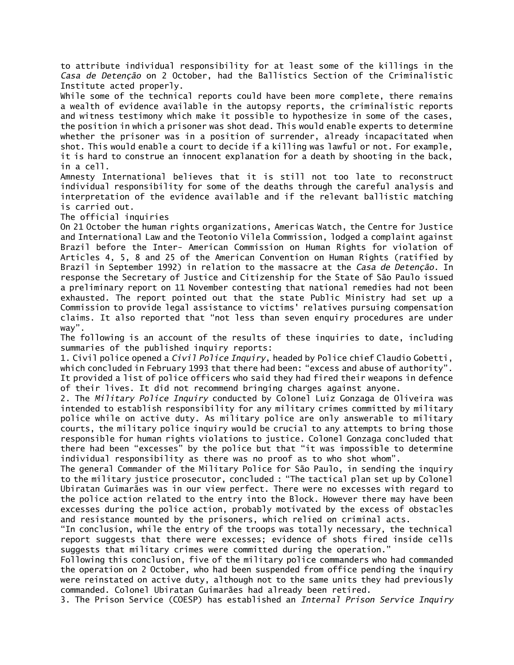to attribute individual responsibility for at least some of the killings in the *Casa de Detenção* on 2 October, had the Ballistics Section of the Criminalistic Institute acted properly.

While some of the technical reports could have been more complete, there remains a wealth of evidence available in the autopsy reports, the criminalistic reports and witness testimony which make it possible to hypothesize in some of the cases, the position in which a prisoner was shot dead. This would enable experts to determine whether the prisoner was in a position of surrender, already incapacitated when shot. This would enable a court to decide if a killing was lawful or not. For example, it is hard to construe an innocent explanation for a death by shooting in the back, in a cell.

Amnesty International believes that it is still not too late to reconstruct individual responsibility for some of the deaths through the careful analysis and interpretation of the evidence available and if the relevant ballistic matching is carried out.

The official inquiries

On 21 October the human rights organizations, Americas Watch, the Centre for Justice and International Law and the Teotonio Vilela Commission, lodged a complaint against Brazil before the Inter- American Commission on Human Rights for violation of Articles 4, 5, 8 and 25 of the American Convention on Human Rights (ratified by Brazil in September 1992) in relation to the massacre at the *Casa de Detenção*. In response the Secretary of Justice and Citizenship for the State of São Paulo issued a preliminary report on 11 November contesting that national remedies had not been exhausted. The report pointed out that the state Public Ministry had set up a Commission to provide legal assistance to victims' relatives pursuing compensation claims. It also reported that "not less than seven enquiry procedures are under way".

The following is an account of the results of these inquiries to date, including summaries of the published inquiry reports:

1. Civil police opened a *Civil Police Inquiry*, headed by Police chief Claudio Gobetti, which concluded in February 1993 that there had been: "excess and abuse of authority". It provided a list of police officers who said they had fired their weapons in defence of their lives. It did not recommend bringing charges against anyone.

2. The *Military Police Inquiry* conducted by Colonel Luiz Gonzaga de Oliveira was intended to establish responsibility for any military crimes committed by military police while on active duty. As military police are only answerable to military courts, the military police inquiry would be crucial to any attempts to bring those responsible for human rights violations to justice. Colonel Gonzaga concluded that there had been "excesses" by the police but that "it was impossible to determine individual responsibility as there was no proof as to who shot whom".

The general Commander of the Military Police for São Paulo, in sending the inquiry to the military justice prosecutor, concluded : "The tactical plan set up by Colonel Ubiratan Guimarães was in our view perfect. There were no excesses with regard to the police action related to the entry into the Block. However there may have been excesses during the police action, probably motivated by the excess of obstacles and resistance mounted by the prisoners, which relied on criminal acts.

"In conclusion, while the entry of the troops was totally necessary, the technical report suggests that there were excesses; evidence of shots fired inside cells suggests that military crimes were committed during the operation."

Following this conclusion, five of the military police commanders who had commanded the operation on 2 October, who had been suspended from office pending the inquiry were reinstated on active duty, although not to the same units they had previously commanded. Colonel Ubiratan Guimarães had already been retired.

3. The Prison Service (COESP) has established an *Internal Prison Service Inquiry*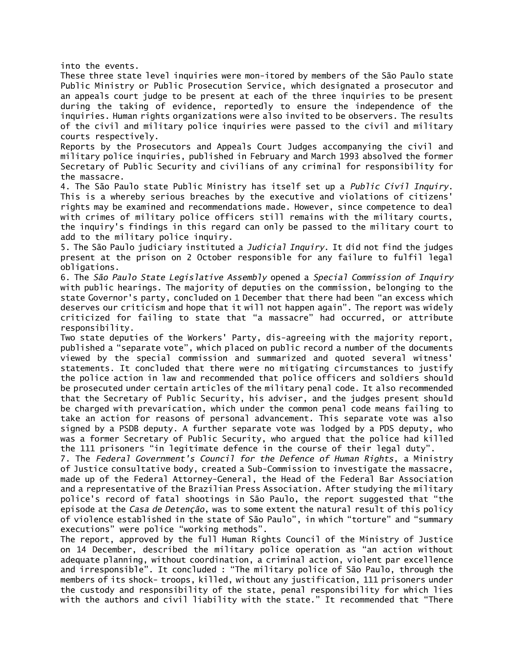into the events.

These three state level inquiries were mon-itored by members of the São Paulo state Public Ministry or Public Prosecution Service, which designated a prosecutor and an appeals court judge to be present at each of the three inquiries to be present during the taking of evidence, reportedly to ensure the independence of the inquiries. Human rights organizations were also invited to be observers. The results of the civil and military police inquiries were passed to the civil and military courts respectively.

Reports by the Prosecutors and Appeals Court Judges accompanying the civil and military police inquiries, published in February and March 1993 absolved the former Secretary of Public Security and civilians of any criminal for responsibility for the massacre.

4. The São Paulo state Public Ministry has itself set up a *Public Civil Inquiry*. This is a whereby serious breaches by the executive and violations of citizens' rights may be examined and recommendations made. However, since competence to deal with crimes of military police officers still remains with the military courts, the inquiry's findings in this regard can only be passed to the military court to add to the military police inquiry.

5. The São Paulo judiciary instituted a *Judicial Inquiry*. It did not find the judges present at the prison on 2 October responsible for any failure to fulfil legal obligations.

6. The *São Paulo State Legislative Assembly* opened a *Special Commission of Inquiry* with public hearings. The majority of deputies on the commission, belonging to the state Governor's party, concluded on 1 December that there had been "an excess which deserves our criticism and hope that it will not happen again". The report was widely criticized for failing to state that "a massacre" had occurred, or attribute responsibility.

Two state deputies of the Workers' Party, dis-agreeing with the majority report, published a "separate vote", which placed on public record a number of the documents viewed by the special commission and summarized and quoted several witness' statements. It concluded that there were no mitigating circumstances to justify the police action in law and recommended that police officers and soldiers should be prosecuted under certain articles of the military penal code. It also recommended that the Secretary of Public Security, his adviser, and the judges present should be charged with prevarication, which under the common penal code means failing to take an action for reasons of personal advancement. This separate vote was also signed by a PSDB deputy. A further separate vote was lodged by a PDS deputy, who was a former Secretary of Public Security, who argued that the police had killed the 111 prisoners "in legitimate defence in the course of their legal duty".

7. The *Federal Government's Council for the Defence of Human Rights*, a Ministry of Justice consultative body, created a Sub-Commission to investigate the massacre, made up of the Federal Attorney-General, the Head of the Federal Bar Association and a representative of the Brazilian Press Association. After studying the military police's record of fatal shootings in São Paulo, the report suggested that "the episode at the *Casa de Detenção*, was to some extent the natural result of this policy of violence established in the state of São Paulo", in which "torture" and "summary executions" were police "working methods".

The report, approved by the full Human Rights Council of the Ministry of Justice on 14 December, described the military police operation as "an action without adequate planning, without coordination, a criminal action, violent par excellence and irresponsible". It concluded : "The military police of São Paulo, through the members of its shock- troops, killed, without any justification, 111 prisoners under the custody and responsibility of the state, penal responsibility for which lies with the authors and civil liability with the state." It recommended that "There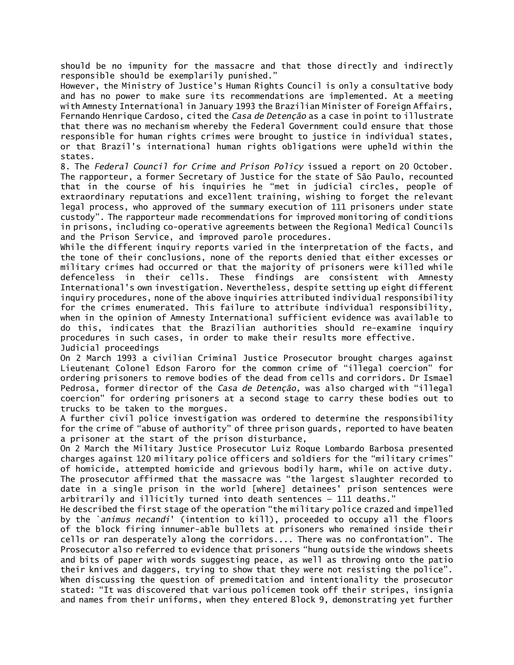should be no impunity for the massacre and that those directly and indirectly responsible should be exemplarily punished."

However, the Ministry of Justice's Human Rights Council is only a consultative body and has no power to make sure its recommendations are implemented. At a meeting with Amnesty International in January 1993 the Brazilian Minister of Foreign Affairs, Fernando Henrique Cardoso, cited the *Casa de Detenção* as a case in point to illustrate that there was no mechanism whereby the Federal Government could ensure that those responsible for human rights crimes were brought to justice in individual states, or that Brazil's international human rights obligations were upheld within the states.

8. The *Federal Council for Crime and Prison Policy* issued a report on 20 October. The rapporteur, a former Secretary of Justice for the state of São Paulo, recounted that in the course of his inquiries he "met in judicial circles, people of extraordinary reputations and excellent training, wishing to forget the relevant legal process, who approved of the summary execution of 111 prisoners under state custody". The rapporteur made recommendations for improved monitoring of conditions in prisons, including co-operative agreements between the Regional Medical Councils and the Prison Service, and improved parole procedures.

While the different inquiry reports varied in the interpretation of the facts, and the tone of their conclusions, none of the reports denied that either excesses or military crimes had occurred or that the majority of prisoners were killed while defenceless in their cells. These findings are consistent with Amnesty International's own investigation. Nevertheless, despite setting up eight different inquiry procedures, none of the above inquiries attributed individual responsibility for the crimes enumerated. This failure to attribute individual responsibility, when in the opinion of Amnesty International sufficient evidence was available to do this, indicates that the Brazilian authorities should re-examine inquiry procedures in such cases, in order to make their results more effective. Judicial proceedings

On 2 March 1993 a civilian Criminal Justice Prosecutor brought charges against Lieutenant Colonel Edson Faroro for the common crime of "illegal coercion" for ordering prisoners to remove bodies of the dead from cells and corridors. Dr Ismael Pedrosa, former director of the *Casa de Detenção,* was also charged with "illegal coercion" for ordering prisoners at a second stage to carry these bodies out to trucks to be taken to the morgues.

A further civil police investigation was ordered to determine the responsibility for the crime of "abuse of authority" of three prison guards, reported to have beaten a prisoner at the start of the prison disturbance,

On 2 March the Military Justice Prosecutor Luiz Roque Lombardo Barbosa presented charges against 120 military police officers and soldiers for the "military crimes"

of homicide, attempted homicide and grievous bodily harm, while on active duty. The prosecutor affirmed that the massacre was "the largest slaughter recorded to date in a single prison in the world [where] detainees' prison sentences were arbitrarily and illicitly turned into death sentences — 111 deaths."

He described the first stage of the operation "the military police crazed and impelled by the `*animus necandi*' (intention to kill), proceeded to occupy all the floors of the block firing innumer-able bullets at prisoners who remained inside their cells or ran desperately along the corridors.... There was no confrontation". The Prosecutor also referred to evidence that prisoners "hung outside the windows sheets and bits of paper with words suggesting peace, as well as throwing onto the patio their knives and daggers, trying to show that they were not resisting the police". When discussing the question of premeditation and intentionality the prosecutor stated: "It was discovered that various policemen took off their stripes, insignia and names from their uniforms, when they entered Block 9, demonstrating yet further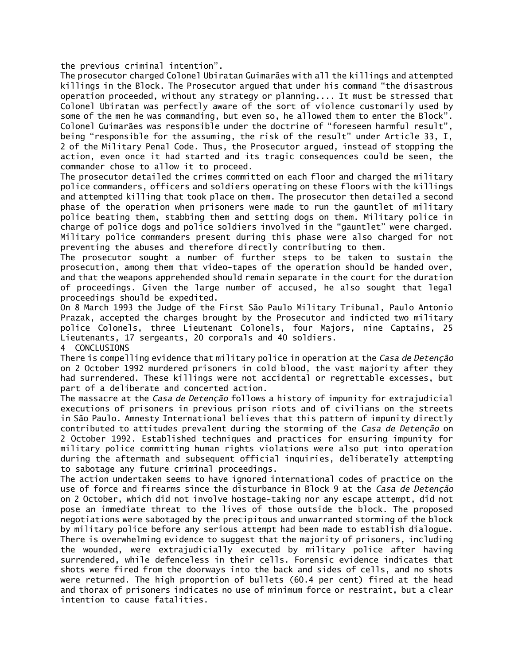the previous criminal intention".

The prosecutor charged Colonel Ubiratan Guimarães with all the killings and attempted killings in the Block. The Prosecutor argued that under his command "the disastrous operation proceeded, without any strategy or planning.... It must be stressed that Colonel Ubiratan was perfectly aware of the sort of violence customarily used by some of the men he was commanding, but even so, he allowed them to enter the Block". Colonel Guimarães was responsible under the doctrine of "foreseen harmful result", being "responsible for the assuming, the risk of the result" under Article 33, I, 2 of the Military Penal Code. Thus, the Prosecutor argued, instead of stopping the action, even once it had started and its tragic consequences could be seen, the commander chose to allow it to proceed.

The prosecutor detailed the crimes committed on each floor and charged the military police commanders, officers and soldiers operating on these floors with the killings and attempted killing that took place on them. The prosecutor then detailed a second phase of the operation when prisoners were made to run the gauntlet of military police beating them, stabbing them and setting dogs on them. Military police in charge of police dogs and police soldiers involved in the "gauntlet" were charged. Military police commanders present during this phase were also charged for not preventing the abuses and therefore directly contributing to them.

The prosecutor sought a number of further steps to be taken to sustain the prosecution, among them that video-tapes of the operation should be handed over, and that the weapons apprehended should remain separate in the court for the duration of proceedings. Given the large number of accused, he also sought that legal proceedings should be expedited.

On 8 March 1993 the Judge of the First São Paulo Military Tribunal, Paulo Antonio Prazak, accepted the charges brought by the Prosecutor and indicted two military police Colonels, three Lieutenant Colonels, four Majors, nine Captains, 25 Lieutenants, 17 sergeants, 20 corporals and 40 soldiers.

4 CONCLUSIONS

There is compelling evidence that military police in operation at the *Casa de Detenção* on 2 October 1992 murdered prisoners in cold blood, the vast majority after they had surrendered. These killings were not accidental or regrettable excesses, but part of a deliberate and concerted action.

The massacre at the *Casa de Detenção* follows a history of impunity for extrajudicial executions of prisoners in previous prison riots and of civilians on the streets in São Paulo. Amnesty International believes that this pattern of impunity directly contributed to attitudes prevalent during the storming of the *Casa de Detenção* on 2 October 1992. Established techniques and practices for ensuring impunity for military police committing human rights violations were also put into operation during the aftermath and subsequent official inquiries, deliberately attempting to sabotage any future criminal proceedings.

The action undertaken seems to have ignored international codes of practice on the use of force and firearms since the disturbance in Block 9 at the *Casa de Detenção* on 2 October, which did not involve hostage-taking nor any escape attempt, did not pose an immediate threat to the lives of those outside the block. The proposed negotiations were sabotaged by the precipitous and unwarranted storming of the block by military police before any serious attempt had been made to establish dialogue. There is overwhelming evidence to suggest that the majority of prisoners, including the wounded, were extrajudicially executed by military police after having surrendered, while defenceless in their cells. Forensic evidence indicates that shots were fired from the doorways into the back and sides of cells, and no shots were returned. The high proportion of bullets (60.4 per cent) fired at the head and thorax of prisoners indicates no use of minimum force or restraint, but a clear intention to cause fatalities.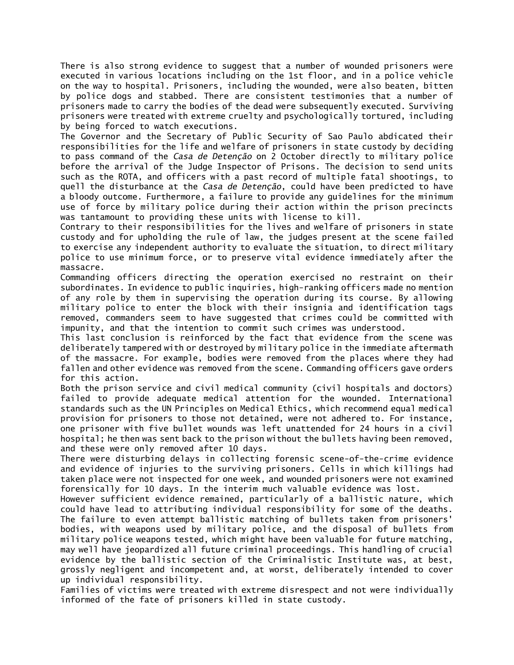There is also strong evidence to suggest that a number of wounded prisoners were executed in various locations including on the 1st floor, and in a police vehicle on the way to hospital. Prisoners, including the wounded, were also beaten, bitten by police dogs and stabbed. There are consistent testimonies that a number of prisoners made to carry the bodies of the dead were subsequently executed. Surviving prisoners were treated with extreme cruelty and psychologically tortured, including by being forced to watch executions.

The Governor and the Secretary of Public Security of Sao Paulo abdicated their responsibilities for the life and welfare of prisoners in state custody by deciding to pass command of the *Casa de Detenção* on 2 October directly to military police before the arrival of the Judge Inspector of Prisons. The decision to send units such as the ROTA, and officers with a past record of multiple fatal shootings, to quell the disturbance at the *Casa de Detenção*, could have been predicted to have a bloody outcome. Furthermore, a failure to provide any guidelines for the minimum use of force by military police during their action within the prison precincts was tantamount to providing these units with license to kill.

Contrary to their responsibilities for the lives and welfare of prisoners in state custody and for upholding the rule of law, the judges present at the scene failed to exercise any independent authority to evaluate the situation, to direct military police to use minimum force, or to preserve vital evidence immediately after the massacre.

Commanding officers directing the operation exercised no restraint on their subordinates. In evidence to public inquiries, high-ranking officers made no mention of any role by them in supervising the operation during its course. By allowing military police to enter the block with their insignia and identification tags removed, commanders seem to have suggested that crimes could be committed with impunity, and that the intention to commit such crimes was understood.

This last conclusion is reinforced by the fact that evidence from the scene was deliberately tampered with or destroyed by military police in the immediate aftermath of the massacre. For example, bodies were removed from the places where they had fallen and other evidence was removed from the scene. Commanding officers gave orders for this action.

Both the prison service and civil medical community (civil hospitals and doctors) failed to provide adequate medical attention for the wounded. International standards such as the UN Principles on Medical Ethics, which recommend equal medical provision for prisoners to those not detained, were not adhered to. For instance, one prisoner with five bullet wounds was left unattended for 24 hours in a civil hospital; he then was sent back to the prison without the bullets having been removed, and these were only removed after 10 days.

There were disturbing delays in collecting forensic scene-of-the-crime evidence and evidence of injuries to the surviving prisoners. Cells in which killings had taken place were not inspected for one week, and wounded prisoners were not examined forensically for 10 days. In the interim much valuable evidence was lost.

However sufficient evidence remained, particularly of a ballistic nature, which could have lead to attributing individual responsibility for some of the deaths. The failure to even attempt ballistic matching of bullets taken from prisoners' bodies, with weapons used by military police, and the disposal of bullets from military police weapons tested, which might have been valuable for future matching, may well have jeopardized all future criminal proceedings. This handling of crucial evidence by the ballistic section of the Criminalistic Institute was, at best, grossly negligent and incompetent and, at worst, deliberately intended to cover up individual responsibility.

Families of victims were treated with extreme disrespect and not were individually informed of the fate of prisoners killed in state custody.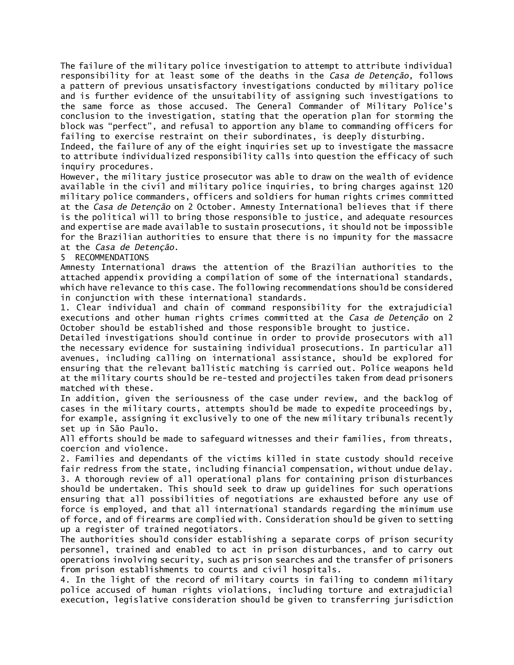The failure of the military police investigation to attempt to attribute individual responsibility for at least some of the deaths in the *Casa de Detenção*, follows a pattern of previous unsatisfactory investigations conducted by military police and is further evidence of the unsuitability of assigning such investigations to the same force as those accused. The General Commander of Military Police's conclusion to the investigation, stating that the operation plan for storming the block was "perfect", and refusal to apportion any blame to commanding officers for failing to exercise restraint on their subordinates, is deeply disturbing.

Indeed, the failure of any of the eight inquiries set up to investigate the massacre to attribute individualized responsibility calls into question the efficacy of such inquiry procedures.

However, the military justice prosecutor was able to draw on the wealth of evidence available in the civil and military police inquiries, to bring charges against 120 military police commanders, officers and soldiers for human rights crimes committed at the *Casa de Detenção* on 2 October. Amnesty International believes that if there is the political will to bring those responsible to justice, and adequate resources and expertise are made available to sustain prosecutions, it should not be impossible for the Brazilian authorities to ensure that there is no impunity for the massacre at the *Casa de Detenção*.

5 RECOMMENDATIONS

Amnesty International draws the attention of the Brazilian authorities to the attached appendix providing a compilation of some of the international standards, which have relevance to this case. The following recommendations should be considered in conjunction with these international standards.

1. Clear individual and chain of command responsibility for the extrajudicial executions and other human rights crimes committed at the *Casa de Detenção* on 2 October should be established and those responsible brought to justice.

Detailed investigations should continue in order to provide prosecutors with all the necessary evidence for sustaining individual prosecutions. In particular all avenues, including calling on international assistance, should be explored for ensuring that the relevant ballistic matching is carried out. Police weapons held at the military courts should be re-tested and projectiles taken from dead prisoners matched with these.

In addition, given the seriousness of the case under review, and the backlog of cases in the military courts, attempts should be made to expedite proceedings by, for example, assigning it exclusively to one of the new military tribunals recently set up in São Paulo.

All efforts should be made to safeguard witnesses and their families, from threats, coercion and violence.

2. Families and dependants of the victims killed in state custody should receive fair redress from the state, including financial compensation, without undue delay. 3. A thorough review of all operational plans for containing prison disturbances should be undertaken. This should seek to draw up guidelines for such operations ensuring that all possibilities of negotiations are exhausted before any use of force is employed, and that all international standards regarding the minimum use of force, and of firearms are complied with. Consideration should be given to setting up a register of trained negotiators.

The authorities should consider establishing a separate corps of prison security personnel, trained and enabled to act in prison disturbances, and to carry out operations involving security, such as prison searches and the transfer of prisoners from prison establishments to courts and civil hospitals.

4. In the light of the record of military courts in failing to condemn military police accused of human rights violations, including torture and extrajudicial execution, legislative consideration should be given to transferring jurisdiction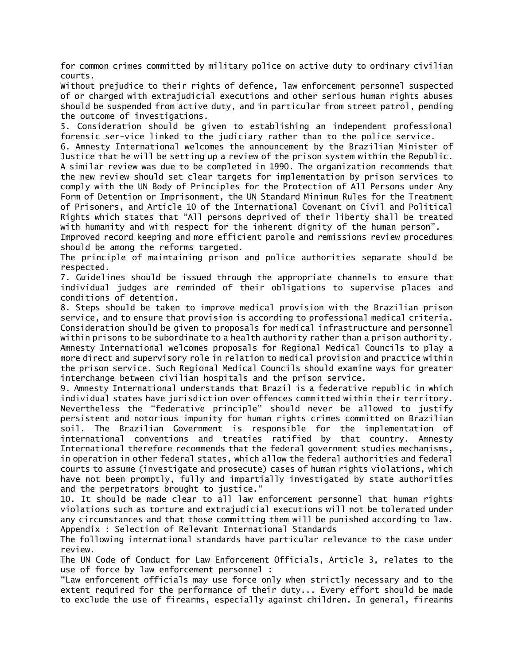for common crimes committed by military police on active duty to ordinary civilian courts.

Without prejudice to their rights of defence, law enforcement personnel suspected of or charged with extrajudicial executions and other serious human rights abuses should be suspended from active duty, and in particular from street patrol, pending the outcome of investigations.

5. Consideration should be given to establishing an independent professional forensic ser-vice linked to the judiciary rather than to the police service.

6. Amnesty International welcomes the announcement by the Brazilian Minister of Justice that he will be setting up a review of the prison system within the Republic. A similar review was due to be completed in 1990. The organization recommends that the new review should set clear targets for implementation by prison services to comply with the UN Body of Principles for the Protection of All Persons under Any Form of Detention or Imprisonment, the UN Standard Minimum Rules for the Treatment of Prisoners, and Article 10 of the International Covenant on Civil and Political Rights which states that "All persons deprived of their liberty shall be treated with humanity and with respect for the inherent dignity of the human person".

Improved record keeping and more efficient parole and remissions review procedures should be among the reforms targeted.

The principle of maintaining prison and police authorities separate should be respected.

7. Guidelines should be issued through the appropriate channels to ensure that individual judges are reminded of their obligations to supervise places and conditions of detention.

8. Steps should be taken to improve medical provision with the Brazilian prison service, and to ensure that provision is according to professional medical criteria. Consideration should be given to proposals for medical infrastructure and personnel within prisons to be subordinate to a health authority rather than a prison authority. Amnesty International welcomes proposals for Regional Medical Councils to play a more direct and supervisory role in relation to medical provision and practice within the prison service. Such Regional Medical Councils should examine ways for greater interchange between civilian hospitals and the prison service.

9. Amnesty International understands that Brazil is a federative republic in which individual states have jurisdiction over offences committed within their territory. Nevertheless the "federative principle" should never be allowed to justify persistent and notorious impunity for human rights crimes committed on Brazilian soil. The Brazilian Government is responsible for the implementation of international conventions and treaties ratified by that country. Amnesty International therefore recommends that the federal government studies mechanisms, in operation in other federal states, which allow the federal authorities and federal courts to assume (investigate and prosecute) cases of human rights violations, which have not been promptly, fully and impartially investigated by state authorities and the perpetrators brought to justice."

10. It should be made clear to all law enforcement personnel that human rights violations such as torture and extrajudicial executions will not be tolerated under any circumstances and that those committing them will be punished according to law. Appendix : Selection of Relevant International Standards

The following international standards have particular relevance to the case under review.

The UN Code of Conduct for Law Enforcement Officials, Article 3, relates to the use of force by law enforcement personnel :

"Law enforcement officials may use force only when strictly necessary and to the extent required for the performance of their duty... Every effort should be made to exclude the use of firearms, especially against children. In general, firearms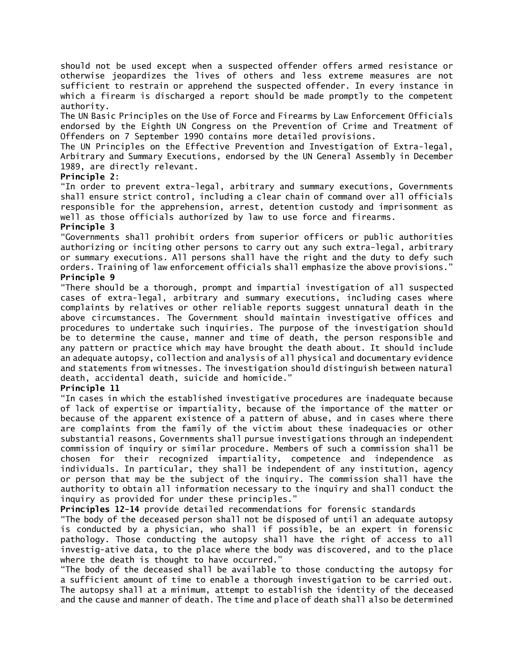should not be used except when a suspected offender offers armed resistance or otherwise jeopardizes the lives of others and less extreme measures are not sufficient to restrain or apprehend the suspected offender. In every instance in which a firearm is discharged a report should be made promptly to the competent authority.

The UN Basic Principles on the Use of Force and Firearms by Law Enforcement Officials endorsed by the Eighth UN Congress on the Prevention of Crime and Treatment of Offenders on 7 September 1990 contains more detailed provisions.

The UN Principles on the Effective Prevention and Investigation of Extra-legal, Arbitrary and Summary Executions, endorsed by the UN General Assembly in December 1989, are directly relevant.

# **Principle 2**:

"In order to prevent extra-legal, arbitrary and summary executions, Governments shall ensure strict control, including a clear chain of command over all officials responsible for the apprehension, arrest, detention custody and imprisonment as well as those officials authorized by law to use force and firearms.

## **Principle 3**

"Governments shall prohibit orders from superior officers or public authorities authorizing or inciting other persons to carry out any such extra-legal, arbitrary or summary executions. All persons shall have the right and the duty to defy such orders. Training of law enforcement officials shall emphasize the above provisions." **Principle 9**

"There should be a thorough, prompt and impartial investigation of all suspected cases of extra-legal, arbitrary and summary executions, including cases where complaints by relatives or other reliable reports suggest unnatural death in the above circumstances. The Government should maintain investigative offices and procedures to undertake such inquiries. The purpose of the investigation should be to determine the cause, manner and time of death, the person responsible and any pattern or practice which may have brought the death about. It should include an adequate autopsy, collection and analysis of all physical and documentary evidence and statements from witnesses. The investigation should distinguish between natural death, accidental death, suicide and homicide."

## **Principle 11**

"In cases in which the established investigative procedures are inadequate because of lack of expertise or impartiality, because of the importance of the matter or because of the apparent existence of a pattern of abuse, and in cases where there are complaints from the family of the victim about these inadequacies or other substantial reasons, Governments shall pursue investigations through an independent commission of inquiry or similar procedure. Members of such a commission shall be chosen for their recognized impartiality, competence and independence as individuals. In particular, they shall be independent of any institution, agency or person that may be the subject of the inquiry. The commission shall have the authority to obtain all information necessary to the inquiry and shall conduct the inquiry as provided for under these principles."

**Principles 12-14** provide detailed recommendations for forensic standards

"The body of the deceased person shall not be disposed of until an adequate autopsy is conducted by a physician, who shall if possible, be an expert in forensic pathology. Those conducting the autopsy shall have the right of access to all investig-ative data, to the place where the body was discovered, and to the place where the death is thought to have occurred."

"The body of the deceased shall be available to those conducting the autopsy for a sufficient amount of time to enable a thorough investigation to be carried out. The autopsy shall at a minimum, attempt to establish the identity of the deceased and the cause and manner of death. The time and place of death shall also be determined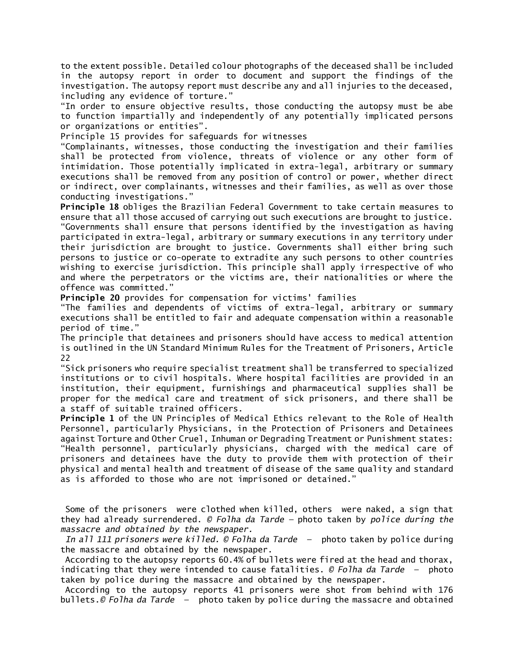to the extent possible. Detailed colour photographs of the deceased shall be included in the autopsy report in order to document and support the findings of the investigation. The autopsy report must describe any and all injuries to the deceased, including any evidence of torture."

"In order to ensure objective results, those conducting the autopsy must be abe to function impartially and independently of any potentially implicated persons or organizations or entities".

Principle 15 provides for safeguards for witnesses

"Complainants, witnesses, those conducting the investigation and their families shall be protected from violence, threats of violence or any other form of intimidation. Those potentially implicated in extra-legal, arbitrary or summary executions shall be removed from any position of control or power, whether direct or indirect, over complainants, witnesses and their families, as well as over those conducting investigations."

**Principle 18** obliges the Brazilian Federal Government to take certain measures to ensure that all those accused of carrying out such executions are brought to justice. "Governments shall ensure that persons identified by the investigation as having participated in extra-legal, arbitrary or summary executions in any territory under their jurisdiction are brought to justice. Governments shall either bring such persons to justice or co-operate to extradite any such persons to other countries wishing to exercise jurisdiction. This principle shall apply irrespective of who and where the perpetrators or the victims are, their nationalities or where the offence was committed."

**Principle 20** provides for compensation for victims' families

"The families and dependents of victims of extra-legal, arbitrary or summary executions shall be entitled to fair and adequate compensation within a reasonable period of time."

The principle that detainees and prisoners should have access to medical attention is outlined in the UN Standard Minimum Rules for the Treatment of Prisoners, Article 22

"Sick prisoners who require specialist treatment shall be transferred to specialized institutions or to civil hospitals. Where hospital facilities are provided in an institution, their equipment, furnishings and pharmaceutical supplies shall be proper for the medical care and treatment of sick prisoners, and there shall be a staff of suitable trained officers.

**Principle 1** of the UN Principles of Medical Ethics relevant to the Role of Health Personnel, particularly Physicians, in the Protection of Prisoners and Detainees against Torture and Other Cruel, Inhuman or Degrading Treatment or Punishment states: "Health personnel, particularly physicians, charged with the medical care of prisoners and detainees have the duty to provide them with protection of their physical and mental health and treatment of disease of the same quality and standard as is afforded to those who are not imprisoned or detained."

Some of the prisoners were clothed when killed, others were naked, a sign that they had already surrendered. *© Folha da Tarde —* photo taken by *police during the massacre and obtained by the newspaper.*

*In all 111 prisoners were killed. © Folha da Tarde* — photo taken by police during the massacre and obtained by the newspaper.

According to the autopsy reports 60.4% of bullets were fired at the head and thorax, indicating that they were intended to cause fatalities. *© Folha da Tarde* — photo taken by police during the massacre and obtained by the newspaper.

According to the autopsy reports 41 prisoners were shot from behind with 176 bullets.*© Folha da Tarde* — photo taken by police during the massacre and obtained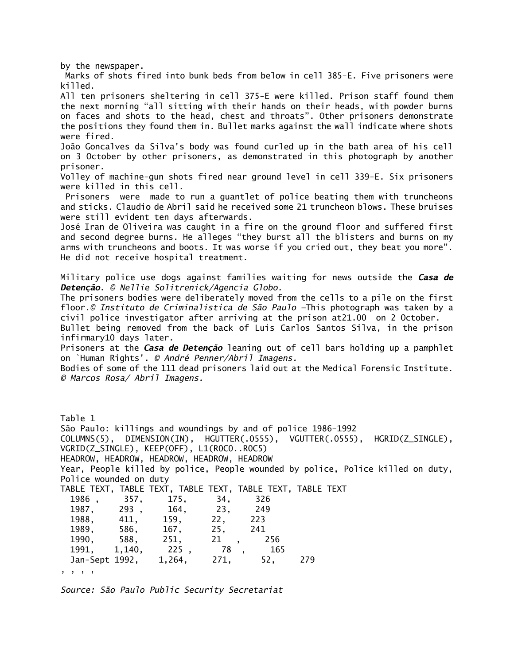by the newspaper.

Marks of shots fired into bunk beds from below in cell 385-E. Five prisoners were killed.

All ten prisoners sheltering in cell 375-E were killed. Prison staff found them the next morning "all sitting with their hands on their heads, with powder burns on faces and shots to the head, chest and throats". Other prisoners demonstrate the positions they found them in. Bullet marks against the wall indicate where shots were fired.

João Goncalves da Silva's body was found curled up in the bath area of his cell on 3 October by other prisoners, as demonstrated in this photograph by another prisoner.

Volley of machine-gun shots fired near ground level in cell 339-E. Six prisoners were killed in this cell.

Prisoners were made to run a guantlet of police beating them with truncheons and sticks. Claudio de Abril said he received some 21 truncheon blows. These bruises were still evident ten days afterwards.

José Iran de Oliveira was caught in a fire on the ground floor and suffered first and second degree burns. He alleges "they burst all the blisters and burns on my arms with truncheons and boots. It was worse if you cried out, they beat you more". He did not receive hospital treatment.

Military police use dogs against families waiting for news outside the *Casa de Detenção*. *© Nellie Solitrenick/Agencia Globo.*

The prisoners bodies were deliberately moved from the cells to a pile on the first floor.*© Instituto de Criminalistica de São Paulo —*This photograph was taken by a civil police investigator after arriving at the prison at21.00 on 2 October.

Bullet being removed from the back of Luis Carlos Santos Silva, in the prison infirmary10 days later.

Prisoners at the *Casa de Detenção* leaning out of cell bars holding up a pamphlet on `Human Rights'. *© André Penner/Abril Imagens.*

Bodies of some of the 111 dead prisoners laid out at the Medical Forensic Institute. *© Marcos Rosa/ Abril Imagens.*

Table 1 São Paulo: killings and woundings by and of police 1986-1992 COLUMNS(5), DIMENSION(IN), HGUTTER(.0555), VGUTTER(.0555), HGRID(Z\_SINGLE), VGRID(Z\_SINGLE), KEEP(OFF), L1(R0C0..R0C5) HEADROW, HEADROW, HEADROW, HEADROW, HEADROW Year, People killed by police, People wounded by police, Police killed on duty, Police wounded on duty TABLE TEXT, TABLE TEXT, TABLE TEXT, TABLE TEXT, TABLE TEXT 1986 , 357, 175, 34, 326 1987, 293 , 164, 23, 249 1988, 411, 159, 22, 223 1989, 586, 167, 25, 241 1990, 588, 251, 21 , 256 1991, 1,140, 225 , 78 , 165 Jan-Sept 1992, 1,264, 271, 52, 279 , , , ,

*Source: São Paulo Public Security Secretariat*